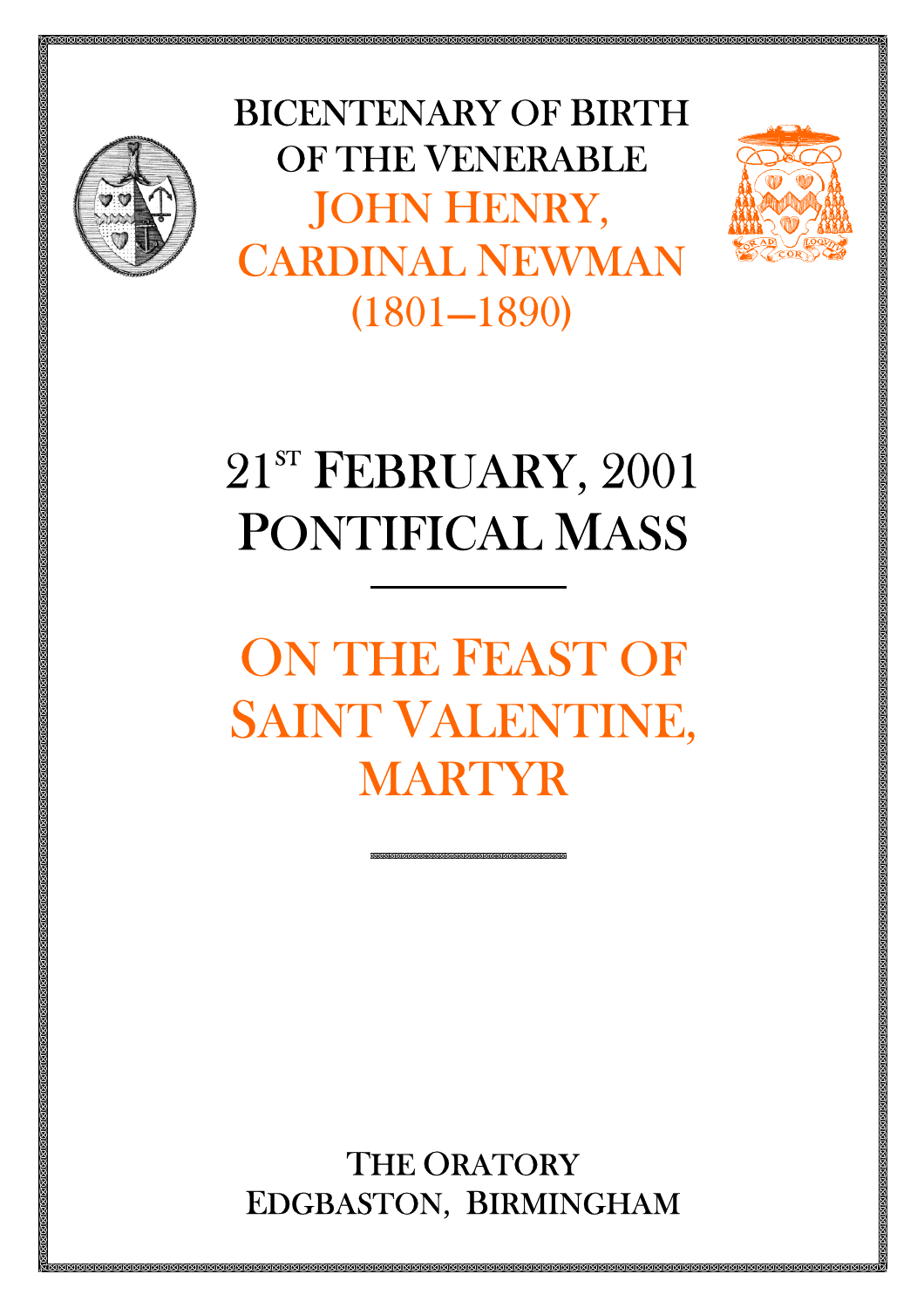

BICENTENARY OF BIRTH OF THE VENERABLE JOHN HENRY, CARDINAL NEWMAN (1801—1890)



# $21^{\text{sr}}$  FEBRUARY,  $2001$ PONTIFICAL MASS

٦

# ON THE FEAST OF SAINT VALENTINE, MARTYR

THE ORATORY EDGBASTON, BIRMINGHAM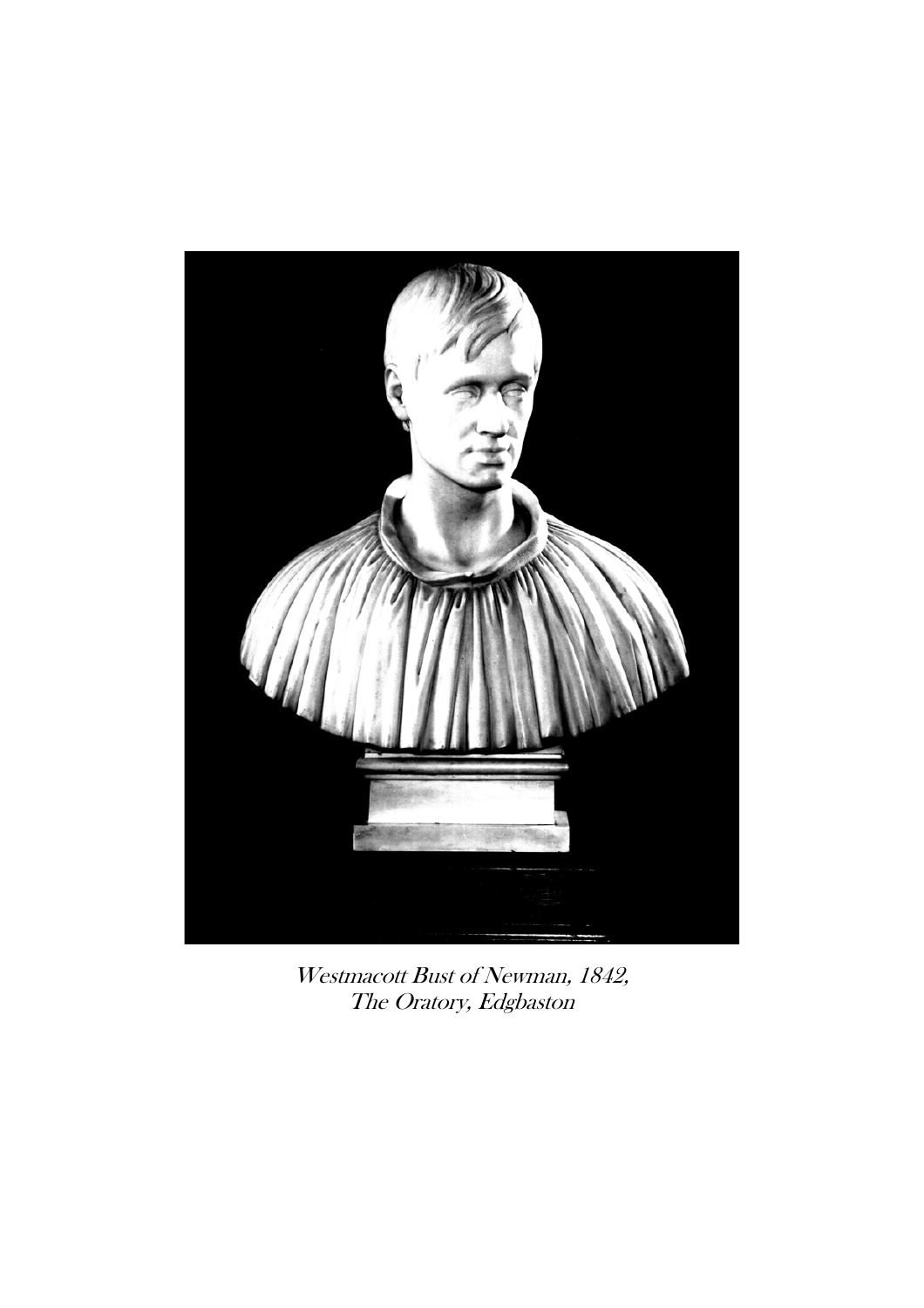

Westmacott Bust of Newman, 1842, The Oratory, Edgbaston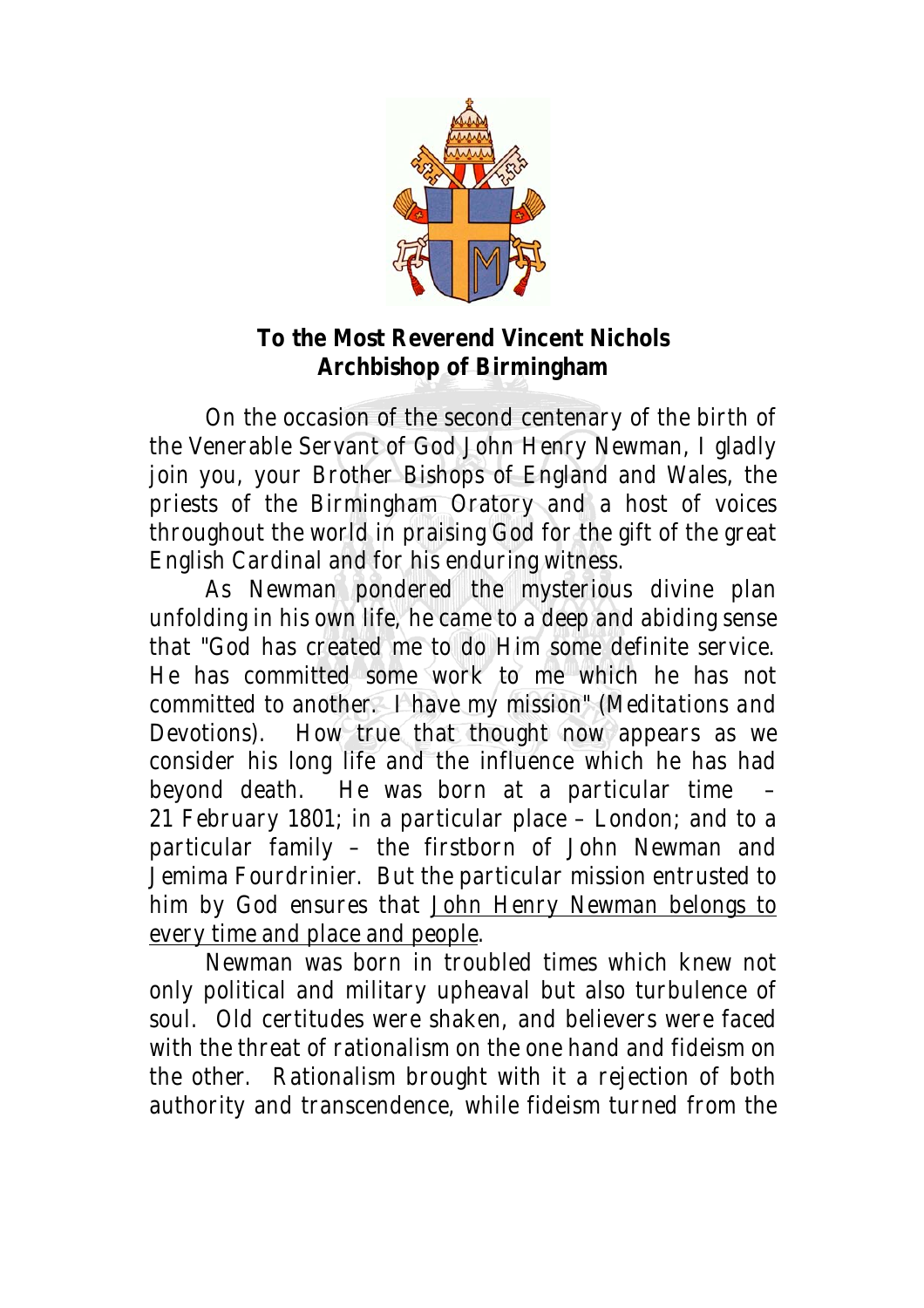

# *To the Most Reverend Vincent Nichols Archbishop of Birmingham*

On the occasion of the second centenary of the birth of the Venerable Servant of God John Henry Newman, I gladly join you, your Brother Bishops of England and Wales, the priests of the Birmingham Oratory and a host of voices throughout the world in praising God for the gift of the great English Cardinal and for his enduring witness.

As Newman pondered the mysterious divine plan unfolding in his own life, he came to a deep and abiding sense that "God has created me to do Him some definite service. He has committed some work to me which he has not committed to another. I have my mission" (*Meditations and Devotions*). How true that thought now appears as we consider his long life and the influence which he has had beyond death. He was born at a particular time – 21 February 1801; in a particular place – London; and to a particular family – the firstborn of John Newman and Jemima Fourdrinier. But the particular mission entrusted to him by God ensures that John Henry Newman belongs to every time and place and people.

Newman was born in troubled times which knew not only political and military upheaval but also turbulence of soul. Old certitudes were shaken, and believers were faced with the threat of rationalism on the one hand and fideism on the other. Rationalism brought with it a rejection of both authority and transcendence, while fideism turned from the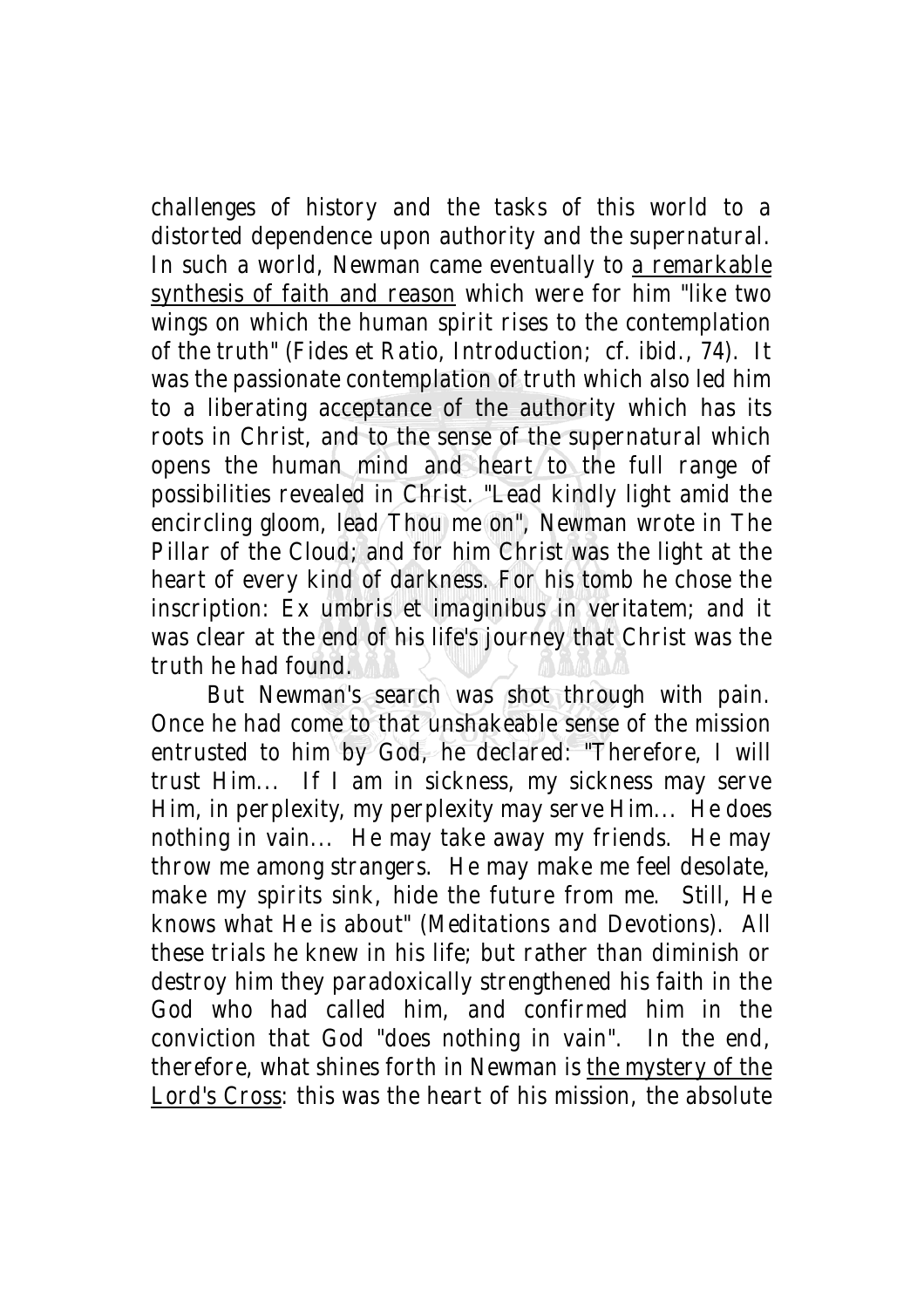challenges of history and the tasks of this world to a distorted dependence upon authority and the supernatural. In such a world, Newman came eventually to a remarkable synthesis of faith and reason which were for him "like two wings on which the human spirit rises to the contemplation of the truth" (*Fides et Ratio*, Introduction; cf. *ibid.*, 74). It was the passionate contemplation of truth which also led him to a liberating acceptance of the authority which has its roots in Christ, and to the sense of the supernatural which opens the human mind and heart to the full range of possibilities revealed in Christ. "Lead kindly light amid the encircling gloom, lead Thou me on", Newman wrote in *The Pillar of the Cloud*; and for him Christ was the light at the heart of every kind of darkness. For his tomb he chose the inscription: *Ex umbris et imaginibus in veritatem*; and it was clear at the end of his life's journey that Christ was the truth he had found.

But Newman's search was shot through with pain. Once he had come to that unshakeable sense of the mission entrusted to him by God, he declared: "Therefore, I will trust Him... If I am in sickness, my sickness may serve Him, in perplexity, my perplexity may serve Him... He does nothing in vain... He may take away my friends. He may throw me among strangers. He may make me feel desolate, make my spirits sink, hide the future from me. Still, He knows what He is about" (*Meditations and Devotions*). All these trials he knew in his life; but rather than diminish or destroy him they paradoxically strengthened his faith in the God who had called him, and confirmed him in the conviction that God "does nothing in vain". In the end, therefore, what shines forth in Newman is the mystery of the Lord's Cross: this was the heart of his mission, the absolute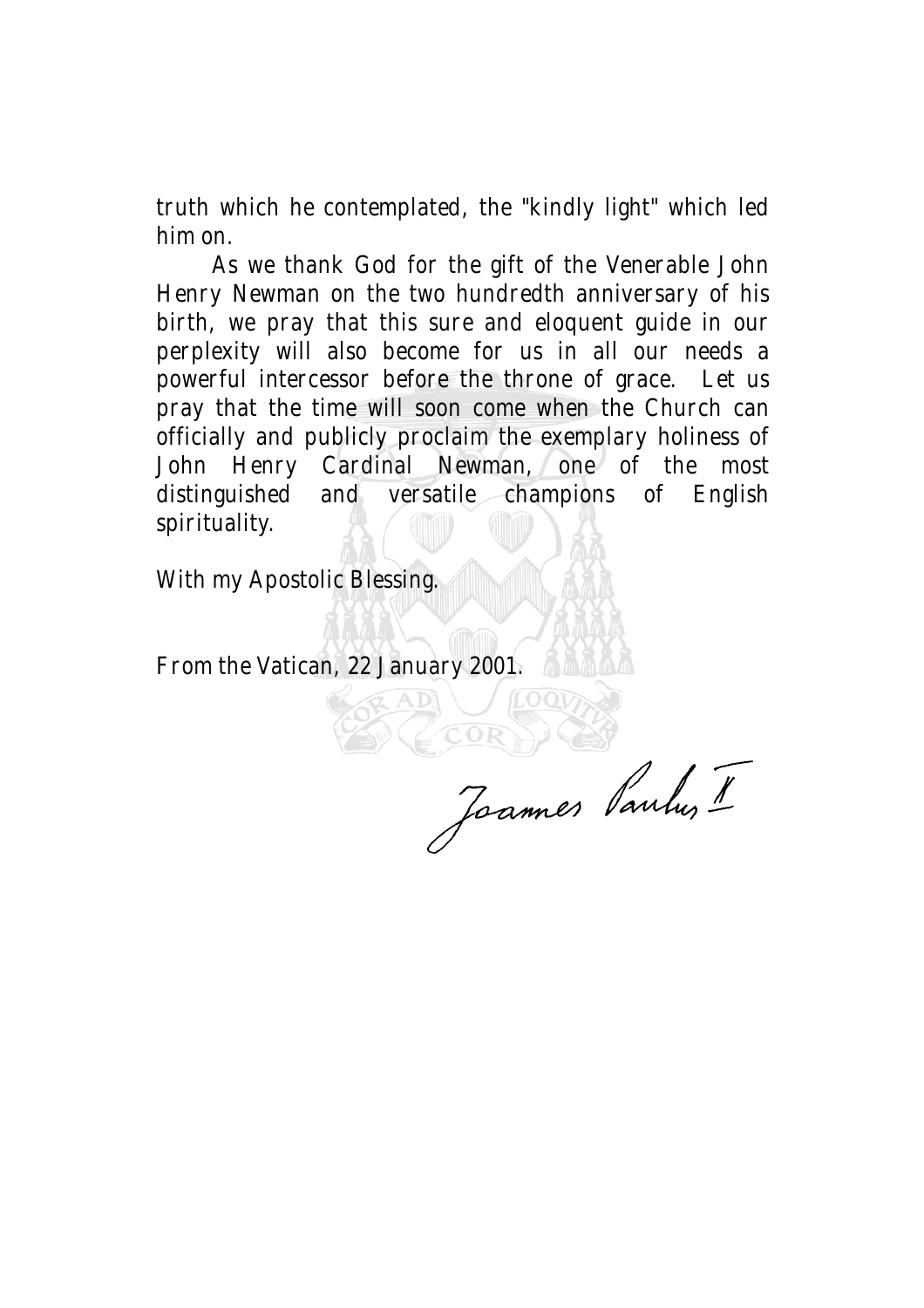truth which he contemplated, the "kindly light" which led him on.

As we thank God for the gift of the Venerable John Henry Newman on the two hundredth anniversary of his birth, we pray that this sure and eloquent guide in our perplexity will also become for us in all our needs a powerful intercessor before the throne of grace. Let us pray that the time will soon come when the Church can officially and publicly proclaim the exemplary holiness of John Henry Cardinal Newman, one of the most distinguished and versatile champions of English spirituality.

COR

With my Apostolic Blessing.

From the Vatican, 22 January 2001.

Joannes Paulus

LOO.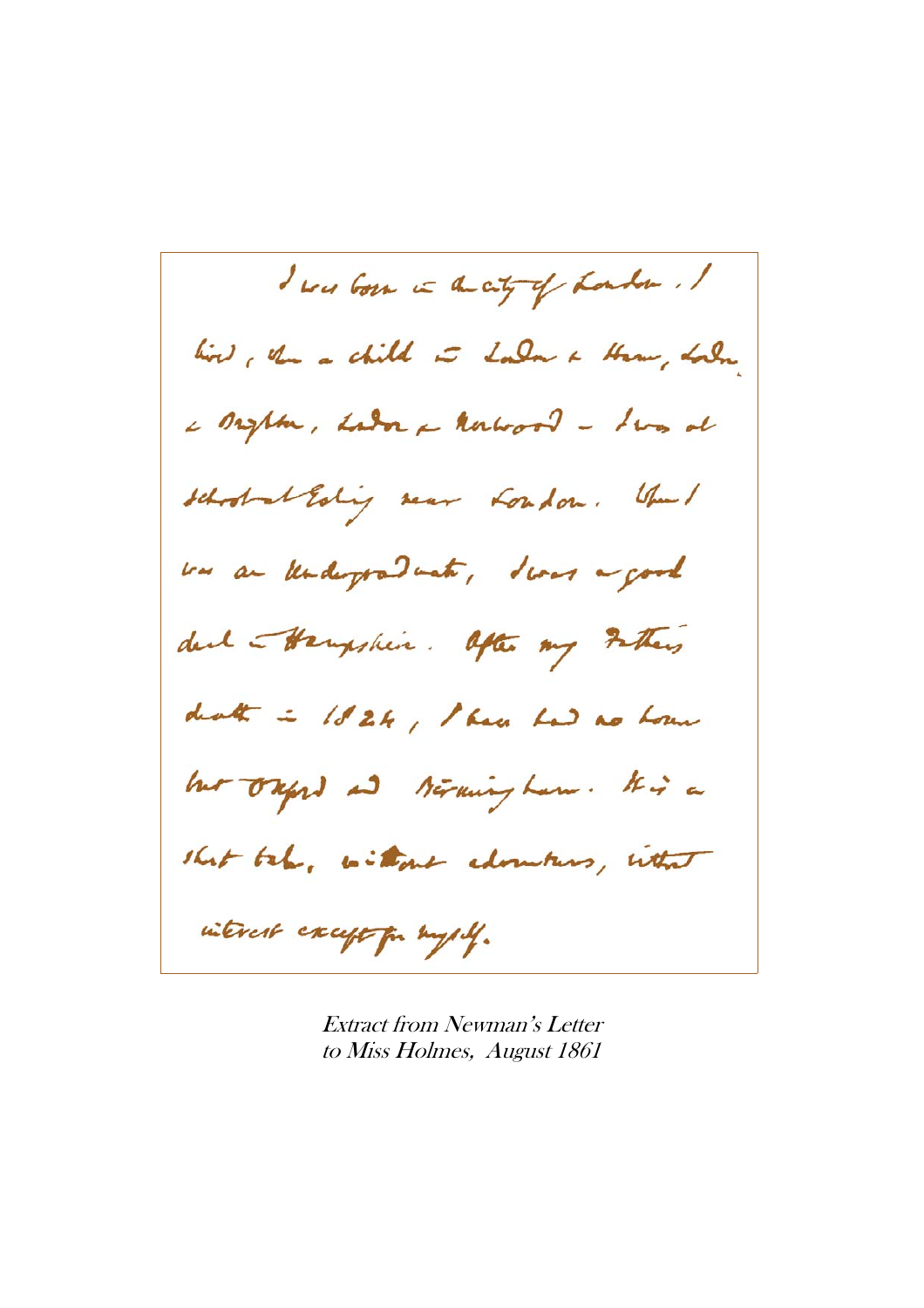I was born in an aity of Landon . I hird, the a child in Lalm a Here, Lalm a Baghton, Ladon a Morbood - Los al schoolat Estry near London. Uhm / un au Kuderpraduate, deras a good del - Hangshir. After my Fathers death in 1824, I have had no hour har taps and Nerving Law.  $k\rightarrow$ that take, without advantures, inthe interest except for myself.

Extract from Newman's Letter to Miss Holmes, August 1861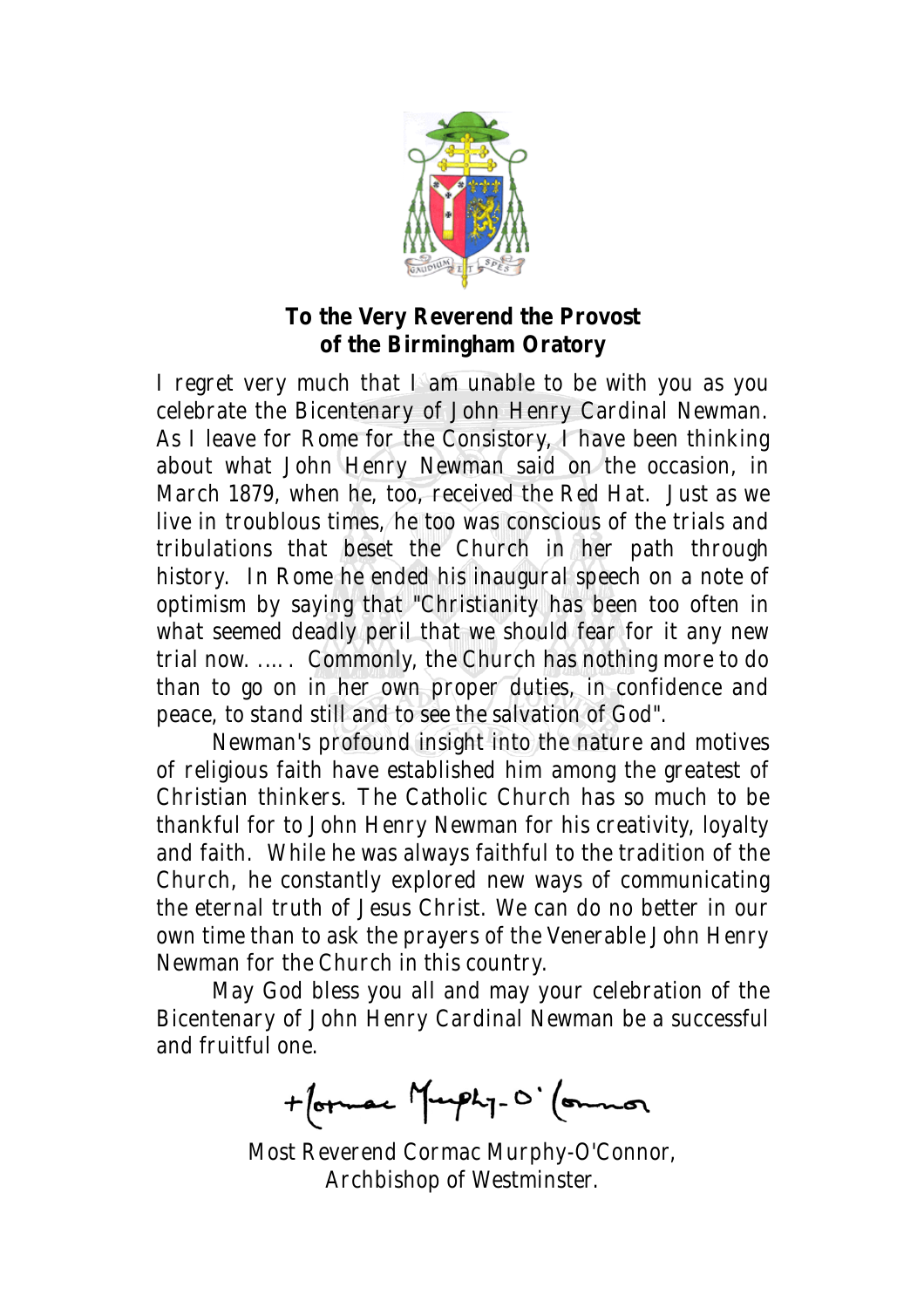

# *To the Very Reverend the Provost of the Birmingham Oratory*

I regret very much that I am unable to be with you as you celebrate the Bicentenary of John Henry Cardinal Newman. As I leave for Rome for the Consistory, I have been thinking about what John Henry Newman said on the occasion, in March 1879, when he, too, received the Red Hat. Just as we live in troublous times, he too was conscious of the trials and tribulations that beset the Church in her path through history. In Rome he ended his inaugural speech on a note of optimism by saying that "Christianity has been too often in what seemed deadly peril that we should fear for it any new trial now. .…. Commonly, the Church has nothing more to do than to go on in her own proper duties, in confidence and peace, to stand still and to see the salvation of God".

Newman's profound insight into the nature and motives of religious faith have established him among the greatest of Christian thinkers. The Catholic Church has so much to be thankful for to John Henry Newman for his creativity, loyalty and faith. While he was always faithful to the tradition of the Church, he constantly explored new ways of communicating the eternal truth of Jesus Christ. We can do no better in our own time than to ask the prayers of the Venerable John Henry Newman for the Church in this country.

May God bless you all and may your celebration of the Bicentenary of John Henry Cardinal Newman be a successful and fruitful one.

+ formac Muphy-O' (ommor

Most Reverend Cormac Murphy-O'Connor, Archbishop of Westminster.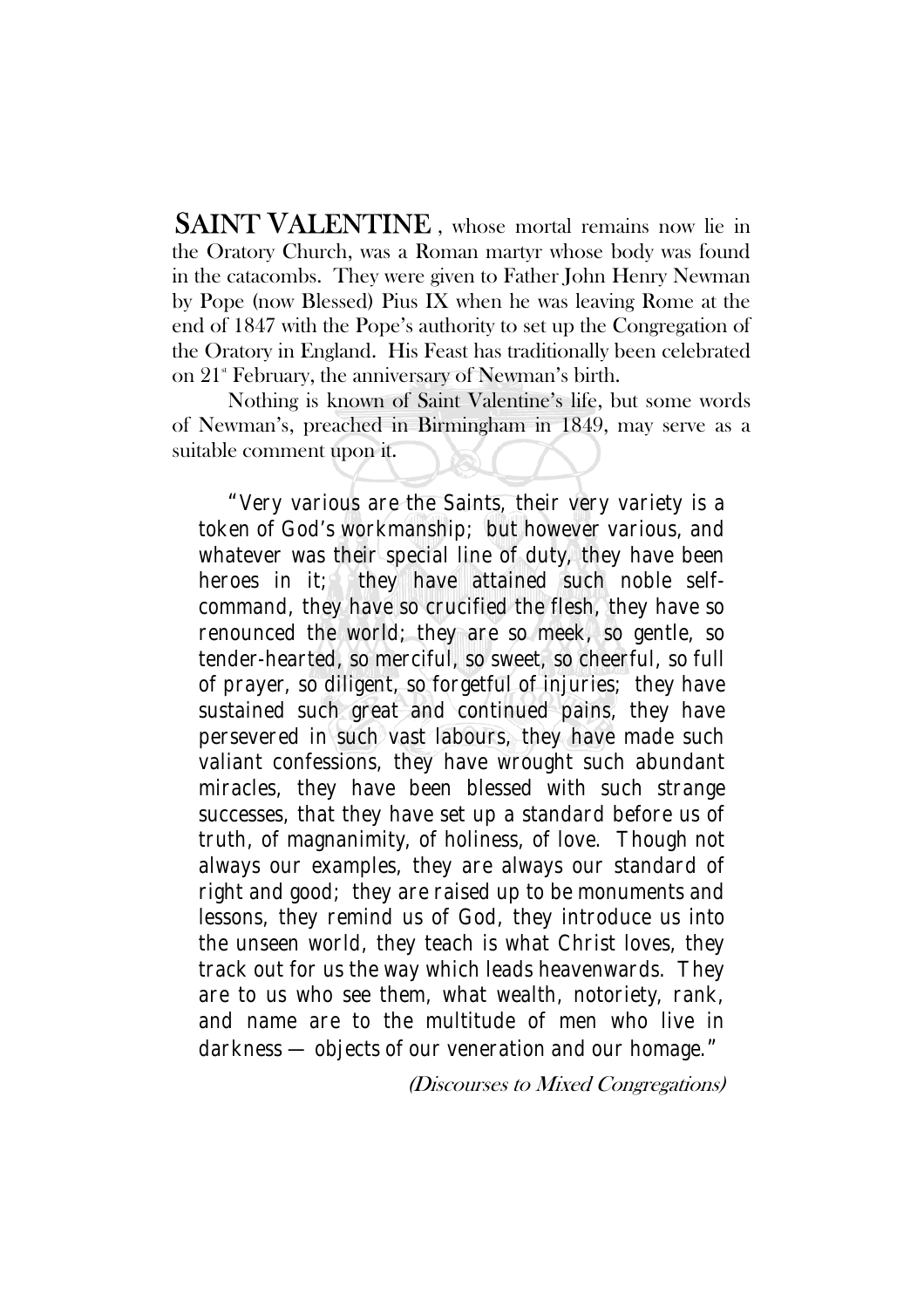SAINT VALENTINE, whose mortal remains now lie in the Oratory Church, was a Roman martyr whose body was found in the catacombs. They were given to Father John Henry Newman by Pope (now Blessed) Pius IX when he was leaving Rome at the end of 1847 with the Pope's authority to set up the Congregation of the Oratory in England. His Feast has traditionally been celebrated on  $21^{\circ}$  February, the anniversary of Newman's birth.

 Nothing is known of Saint Valentine's life, but some words of Newman's, preached in Birmingham in 1849, may serve as a suitable comment upon it.

 "Very various are the Saints, their very variety is a token of God's workmanship; but however various, and whatever was their special line of duty, they have been heroes in it; they have attained such noble selfcommand, they have so crucified the flesh, they have so renounced the world; they are so meek, so gentle, so tender-hearted, so merciful, so sweet, so cheerful, so full of prayer, so diligent, so forgetful of injuries; they have sustained such great and continued pains, they have persevered in such vast labours, they have made such valiant confessions, they have wrought such abundant miracles, they have been blessed with such strange successes, that they have set up a standard before us of truth, of magnanimity, of holiness, of love. Though not always our examples, they are always our standard of right and good; they are raised up to be monuments and lessons, they remind us of God, they introduce us into the unseen world, they teach is what Christ loves, they track out for us the way which leads heavenwards. They are to us who see them, what wealth, notoriety, rank, and name are to the multitude of men who live in darkness — objects of our veneration and our homage."

(Discourses to Mixed Congregations)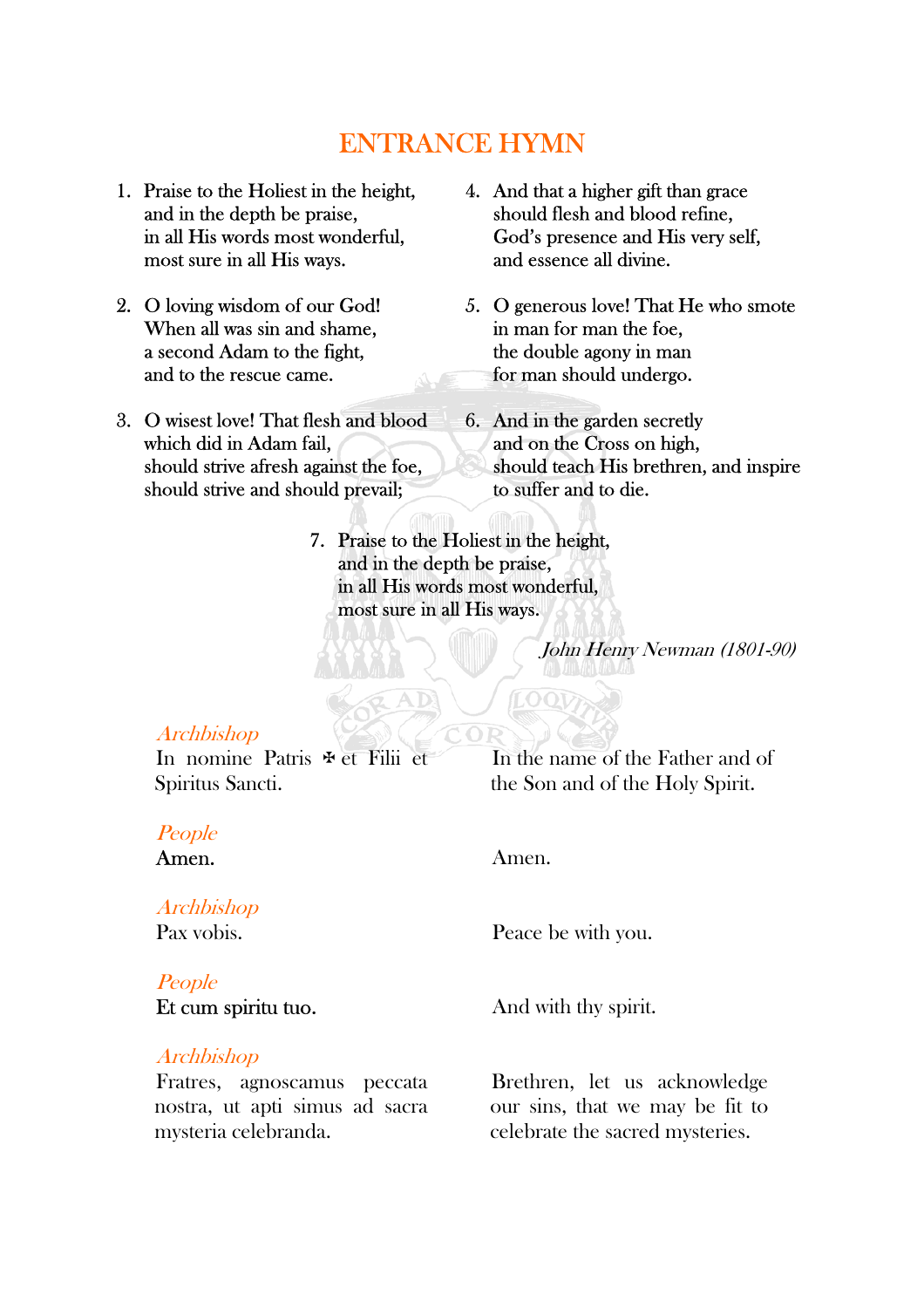# ENTRANCE HYMN

- 1. Praise to the Holiest in the height, and in the depth be praise, in all His words most wonderful, most sure in all His ways.
- 2. O loving wisdom of our God! When all was sin and shame, a second Adam to the fight, and to the rescue came.
- 3. O wisest love! That flesh and blood which did in Adam fail, should strive afresh against the foe, should strive and should prevail;
- 4. And that a higher gift than grace should flesh and blood refine, God's presence and His very self, and essence all divine.
- 5. O generous love! That He who smote in man for man the foe, the double agony in man for man should undergo.
- 6. And in the garden secretly and on the Cross on high, should teach His brethren, and inspire to suffer and to die.
- 7. Praise to the Holiest in the height, and in the depth be praise, in all His words most wonderful, most sure in all His ways.

John Henry Newman (1801-90)

### Archbishop

In nomine Patris # et Filii et Spiritus Sancti.

In the name of the Father and of the Son and of the Holy Spirit.

### People

Amen.

Amen.

LOQ

# Archbishop

Pax vobis.

### People

Et cum spiritu tuo.

#### Archbishop

Fratres, agnoscamus peccata nostra, ut apti simus ad sacra mysteria celebranda.

Peace be with you.

And with thy spirit.

Brethren, let us acknowledge our sins, that we may be fit to celebrate the sacred mysteries.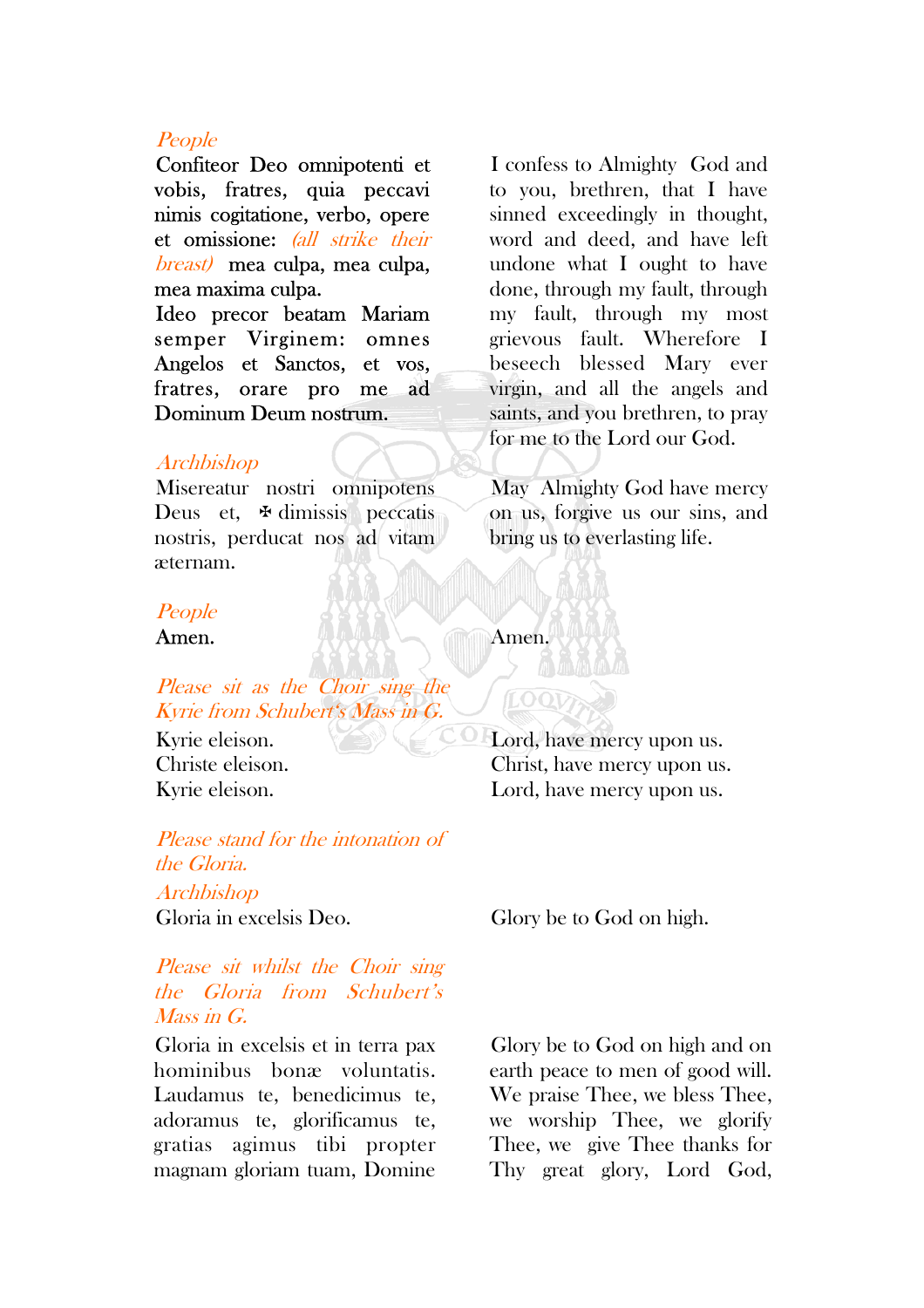#### People

Confiteor Deo omnipotenti et vobis, fratres, quia peccavi nimis cogitatione, verbo, opere et omissione: (all strike their breast) mea culpa, mea culpa, mea maxima culpa.

Ideo precor beatam Mariam semper Virginem: omnes Angelos et Sanctos, et vos, fratres, orare pro me ad Dominum Deum nostrum.

#### Archbishop

Misereatur nostri omnipotens Deus et,  $\pm$  dimissis peccatis nostris, perducat nos ad vitam æternam.

## People

# Amen.

Please sit as the Choir sing the Kyrie from Schubert's Mass in G.

Kyrie eleison. Christe eleison. Kyrie eleison.

Please stand for the intonation of the Gloria. Archbishop Gloria in excelsis Deo.

# Please sit whilst the Choir sing the Gloria from Schubert's Mass in G.

Gloria in excelsis et in terra pax hominibus bonæ voluntatis. Laudamus te, benedicimus te, adoramus te, glorificamus te, gratias agimus tibi propter magnam gloriam tuam, Domine

I confess to Almighty God and to you, brethren, that I have sinned exceedingly in thought, word and deed, and have left undone what I ought to have done, through my fault, through my fault, through my most grievous fault. Wherefore I beseech blessed Mary ever virgin, and all the angels and saints, and you brethren, to pray for me to the Lord our God.

May Almighty God have mercy on us, forgive us our sins, and bring us to everlasting life.

Lord, have mercy upon us. Christ, have mercy upon us. Lord, have mercy upon us.

Amen.

**LOOV** 

Glory be to God on high.

Glory be to God on high and on earth peace to men of good will. We praise Thee, we bless Thee, we worship Thee, we glorify Thee, we give Thee thanks for Thy great glory, Lord God,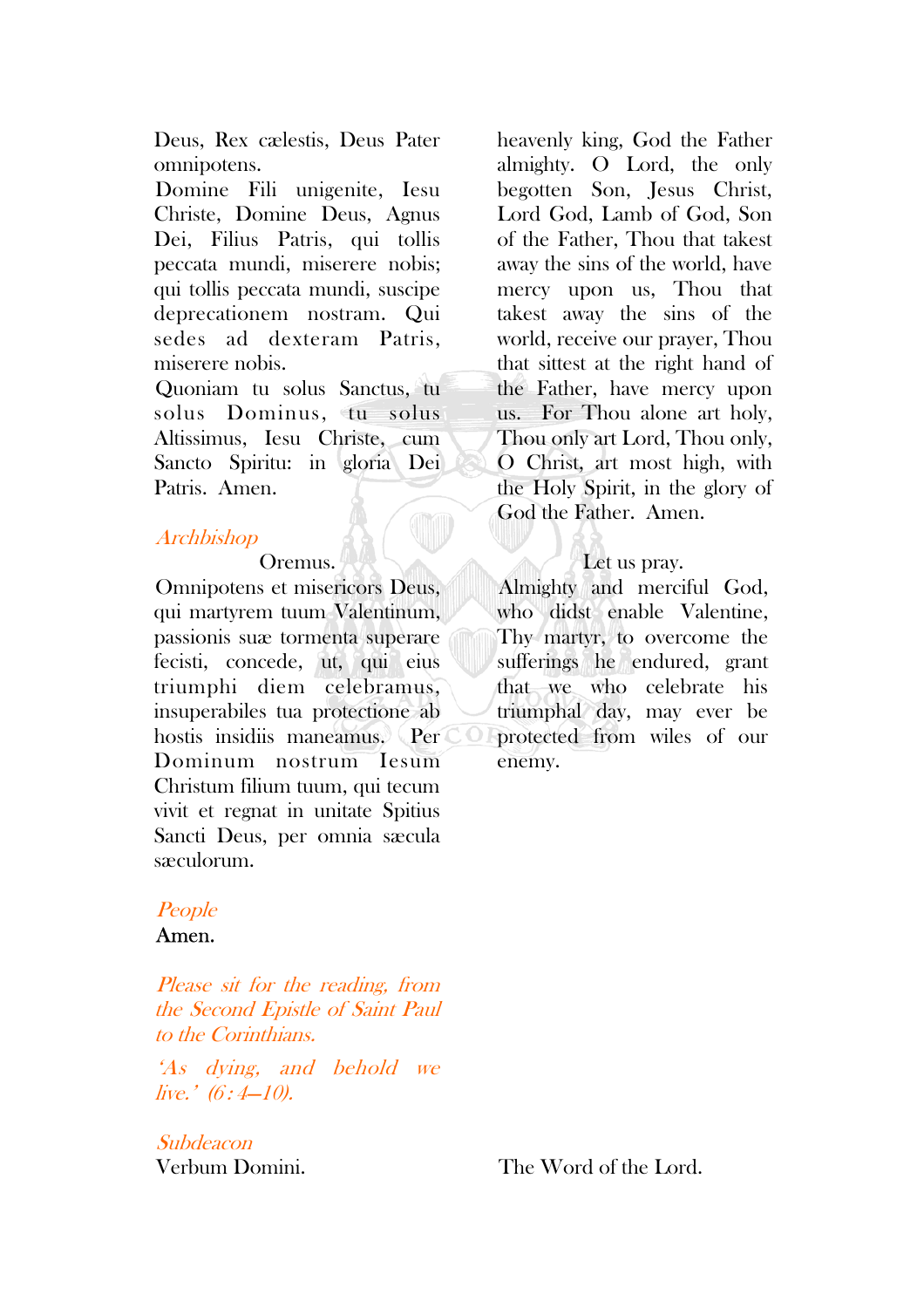Deus, Rex cælestis, Deus Pater omnipotens.

Domine Fili unigenite, Iesu Christe, Domine Deus, Agnus Dei, Filius Patris, qui tollis peccata mundi, miserere nobis; qui tollis peccata mundi, suscipe deprecationem nostram. Qui sedes ad dexteram Patris, miserere nobis.

Quoniam tu solus Sanctus, tu solus Dominus, tu solus Altissimus, Iesu Christe, cum Sancto Spiritu: in gloria Dei Patris. Amen.

# Archbishop

Oremus.

Omnipotens et misericors Deus, qui martyrem tuum Valentinum, passionis suæ tormenta superare fecisti, concede, ut, qui eius triumphi diem celebramus, insuperabiles tua protectione ab hostis insidiis maneamus. Per Dominum nostrum Iesum Christum filium tuum, qui tecum vivit et regnat in unitate Spitius Sancti Deus, per omnia sæcula sæculorum.

heavenly king, God the Father almighty. O Lord, the only begotten Son, Jesus Christ, Lord God, Lamb of God, Son of the Father, Thou that takest away the sins of the world, have mercy upon us, Thou that takest away the sins of the world, receive our prayer, Thou that sittest at the right hand of the Father, have mercy upon us. For Thou alone art holy, Thou only art Lord, Thou only, O Christ, art most high, with the Holy Spirit, in the glory of God the Father. Amen.

# Let us pray.

Almighty and merciful God, who didst enable Valentine, Thy martyr, to overcome the sufferings he endured, grant that we who celebrate his triumphal day, may ever be protected from wiles of our enemy.

# People

## Amen.

Please sit for the reading, from the Second Epistle of Saint Paul to the Corinthians.

'As dying, and behold we live.'  $(6:4 - 10)$ .

Subdeacon Verbum Domini.

The Word of the Lord.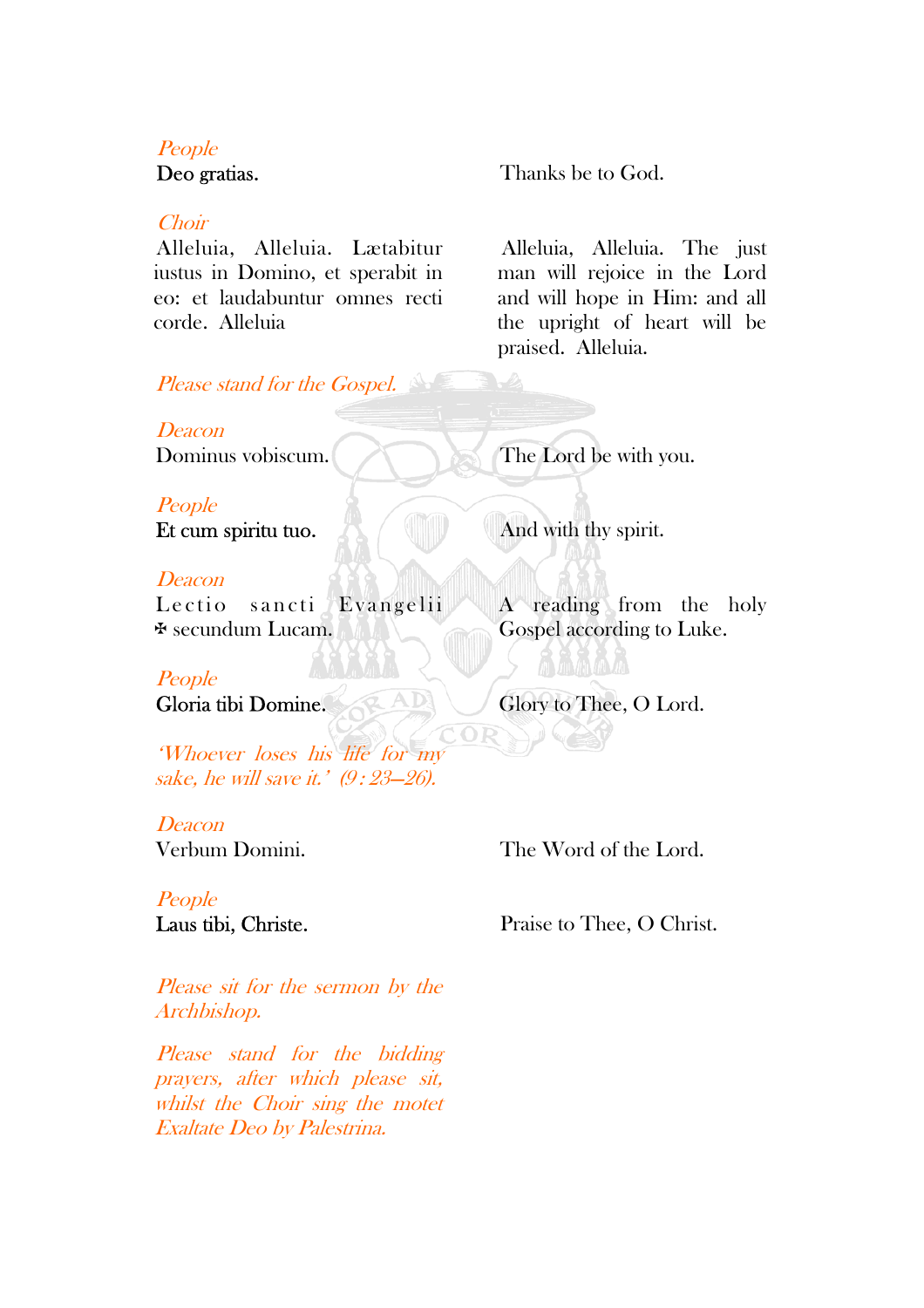# **People**

# Deo gratias.

# Choir

Alleluia, Alleluia. Lætabitur iustus in Domino, et sperabit in eo: et laudabuntur omnes recti corde. Alleluia

Alleluia, Alleluia. The just man will rejoice in the Lord and will hope in Him: and all the upright of heart will be

Please stand for the Gospel.

# **Deacon**

Dominus vobiscum.

# People

Et cum spiritu tuo.

# **Deacon**

Lectio sancti Evangelii # secundum Lucam.

# People

Gloria tibi Domine.

Glory to Thee, O Lord.

'Whoever loses his life for my sake, he will save it.'  $(9:23-26)$ .

# **Deacon**

Verbum Domini.

The Word of the Lord.

People Laus tibi, Christe.

Praise to Thee, O Christ.

Please sit for the sermon by the Archbishop.

Please stand for the bidding prayers, after which please sit, whilst the Choir sing the motet Exaltate Deo by Palestrina.

And with thy spirit.

Thanks be to God.

praised. Alleluia.

The Lord be with you.

A reading from the holy

Gospel according to Luke.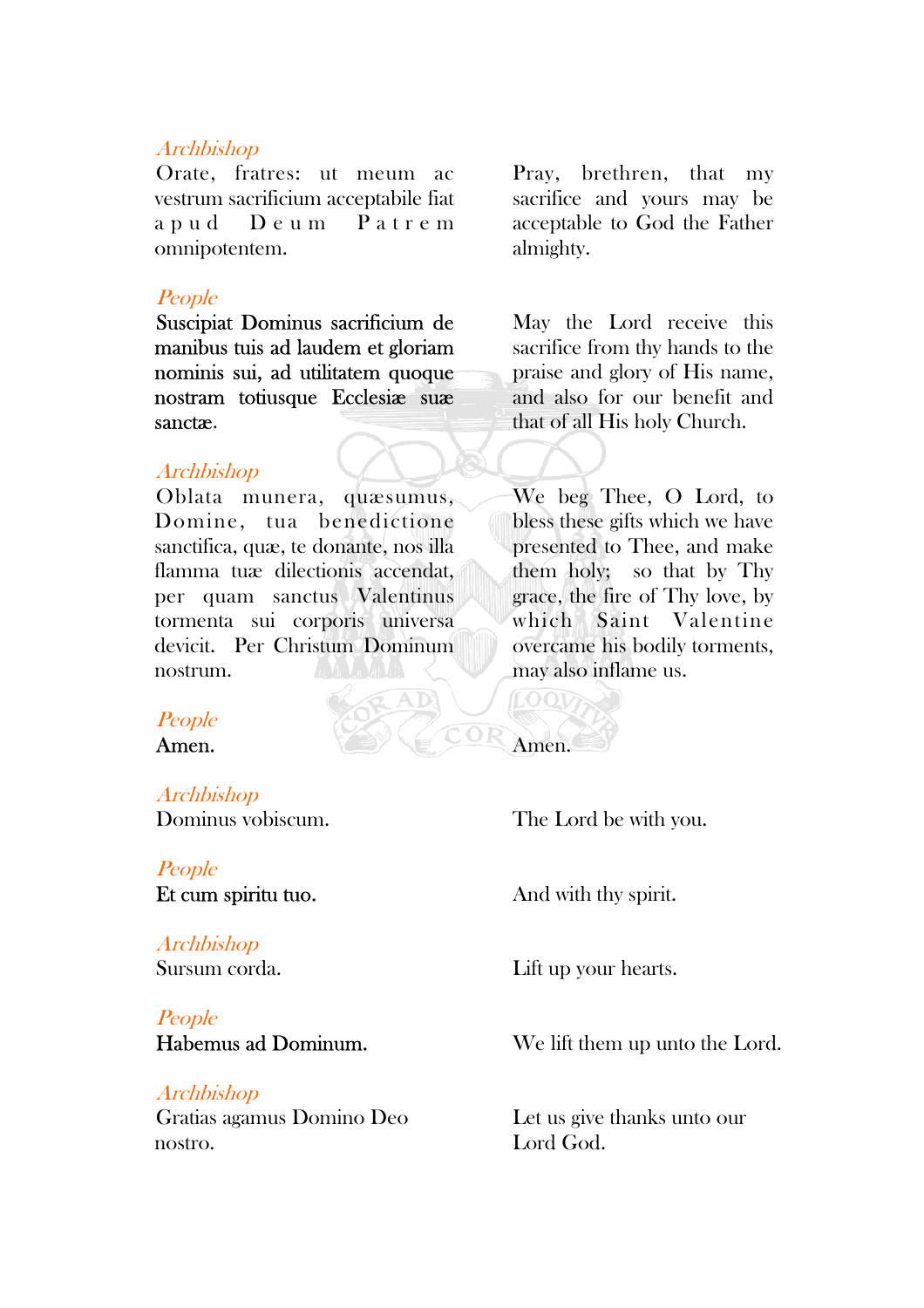#### Archbishop

Orate, fratres: ut meum ac vestrum sacrificium acceptabile fiat a p u d D e u m P a t r e m omnipotentem.

## **People**

Suscipiat Dominus sacrificium de manibus tuis ad laudem et gloriam nominis sui, ad utilitatem quoque nostram totiusque Ecclesiæ suæ sanctæ.

#### Archbishop

Oblata munera, quæsumus, Domine, tua benedictione sanctifica, quæ, te donante, nos illa flamma tuæ dilectionis accendat, per quam sanctus Valentinus tormenta sui corporis universa devicit. Per Christum Dominum nostrum.

# People

# Amen.

Archbishop Dominus vobiscum.

People Et cum spiritu tuo.

Archbishop Sursum corda.

# People Habemus ad Dominum.

Archbishop Gratias agamus Domino Deo nostro.

Pray, brethren, that my sacrifice and yours may be acceptable to God the Father almighty.

May the Lord receive this sacrifice from thy hands to the praise and glory of His name, and also for our benefit and that of all His holy Church.

We beg Thee, O Lord, to bless these gifts which we have presented to Thee, and make them holy; so that by Thy grace, the fire of Thy love, by which Saint Valentine overcame his bodily torments, may also inflame us.

Amen.

LOOD

The Lord be with you.

And with thy spirit.

Lift up your hearts.

We lift them up unto the Lord.

Let us give thanks unto our Lord God.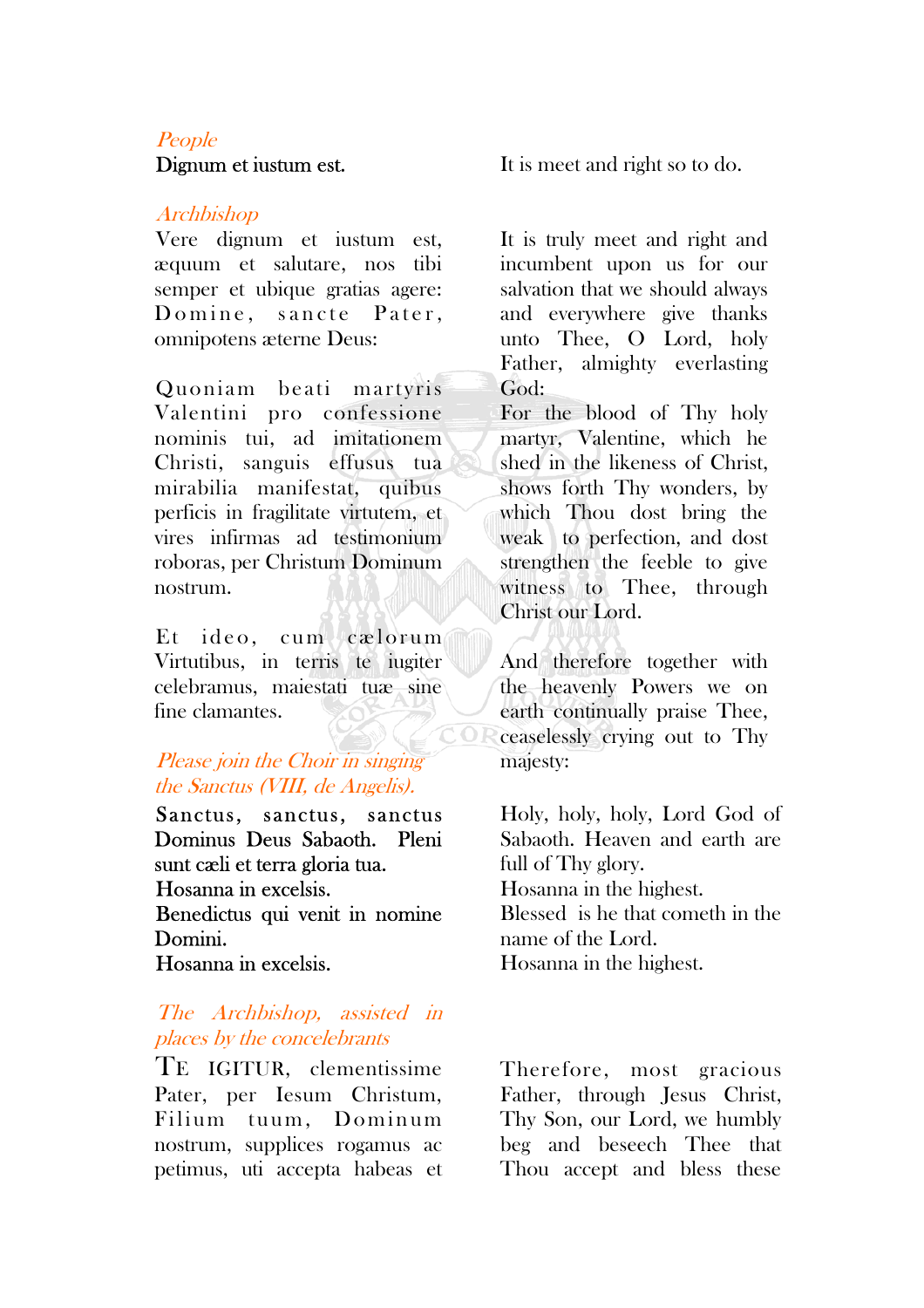# People

#### Dignum et iustum est.

## Archbishop

Vere dignum et iustum est, æquum et salutare, nos tibi semper et ubique gratias agere: Domine, sancte Pater, omnipotens æterne Deus:

Quoniam beati martyris Valentini pro confessione nominis tui, ad imitationem Christi, sanguis effusus tua mirabilia manifestat, quibus perficis in fragilitate virtutem, et vires infirmas ad testimonium roboras, per Christum Dominum nostrum.

Et ideo, cum cælorum Virtutibus, in terris te iugiter celebramus, maiestati tuæ sine fine clamantes.

# Please join the Choir in singing the Sanctus (VIII, de Angelis).

Sanctus, sanctus, sanctus Dominus Deus Sabaoth. Pleni sunt cæli et terra gloria tua. Hosanna in excelsis. Benedictus qui venit in nomine Domini. Hosanna in excelsis.

# The Archbishop, assisted in places by the concelebrants

TE IGITUR, clementissime Pater, per Iesum Christum, Filium tuum, Dominum nostrum, supplices rogamus ac petimus, uti accepta habeas et It is meet and right so to do.

It is truly meet and right and incumbent upon us for our salvation that we should always and everywhere give thanks unto Thee, O Lord, holy Father, almighty everlasting God:

For the blood of Thy holy martyr, Valentine, which he shed in the likeness of Christ, shows forth Thy wonders, by which Thou dost bring the weak to perfection, and dost strengthen the feeble to give witness to Thee, through Christ our Lord.

And therefore together with the heavenly Powers we on earth continually praise Thee, ceaselessly crying out to Thy majesty:

 $\bigcirc$ 

Holy, holy, holy, Lord God of Sabaoth. Heaven and earth are full of Thy glory. Hosanna in the highest. Blessed is he that cometh in the name of the Lord. Hosanna in the highest.

Therefore, most gracious Father, through Jesus Christ, Thy Son, our Lord, we humbly beg and beseech Thee that Thou accept and bless these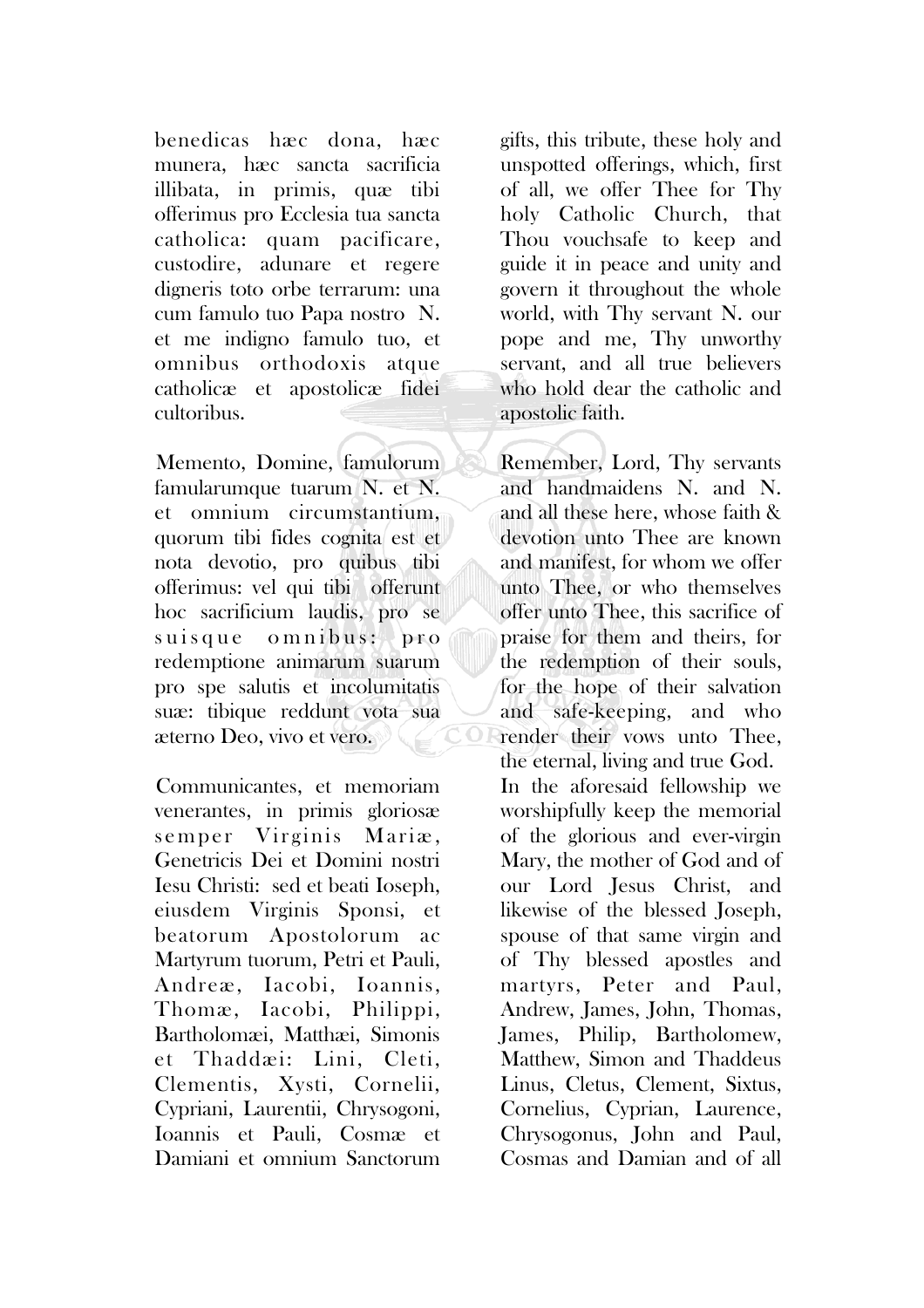benedicas hæc dona, hæc munera, hæc sancta sacrificia illibata, in primis, quæ tibi offerimus pro Ecclesia tua sancta catholica: quam pacificare, custodire, adunare et regere digneris toto orbe terrarum: una cum famulo tuo Papa nostro N. et me indigno famulo tuo, et omnibus orthodoxis atque catholicæ et apostolicæ fidei cultoribus.

Memento, Domine, famulorum famularumque tuarum N. et N. et omnium circumstantium, quorum tibi fides cognita est et nota devotio, pro quibus tibi offerimus: vel qui tibi offerunt hoc sacrificium laudis, pro se suisque omnibus: pro redemptione animarum suarum pro spe salutis et incolumitatis suæ: tibique reddunt vota sua æterno Deo, vivo et vero.

Communicantes, et memoriam venerantes, in primis gloriosæ semper Virginis Mariæ, Genetricis Dei et Domini nostri Iesu Christi: sed et beati Ioseph, eiusdem Virginis Sponsi, et beatorum Apostolorum ac Martyrum tuorum, Petri et Pauli, Andreæ, Iacobi, Ioannis, Thomæ, Iacobi, Philippi, Bartholomæi, Matthæi, Simonis et Thaddæi: Lini, Cleti, Clementis, Xysti, Cornelii, Cypriani, Laurentii, Chrysogoni, Ioannis et Pauli, Cosmæ et Damiani et omnium Sanctorum gifts, this tribute, these holy and unspotted offerings, which, first of all, we offer Thee for Thy holy Catholic Church, that Thou vouchsafe to keep and guide it in peace and unity and govern it throughout the whole world, with Thy servant N. our pope and me, Thy unworthy servant, and all true believers who hold dear the catholic and apostolic faith.

Remember, Lord, Thy servants and handmaidens N. and N. and all these here, whose faith & devotion unto Thee are known and manifest, for whom we offer unto Thee, or who themselves offer unto Thee, this sacrifice of praise for them and theirs, for the redemption of their souls, for the hope of their salvation and safe-keeping, and who render their vows unto Thee, the eternal, living and true God. In the aforesaid fellowship we worshipfully keep the memorial of the glorious and ever-virgin Mary, the mother of God and of our Lord Jesus Christ, and likewise of the blessed Joseph, spouse of that same virgin and of Thy blessed apostles and martyrs, Peter and Paul, Andrew, James, John, Thomas, James, Philip, Bartholomew, Matthew, Simon and Thaddeus Linus, Cletus, Clement, Sixtus, Cornelius, Cyprian, Laurence, Chrysogonus, John and Paul, Cosmas and Damian and of all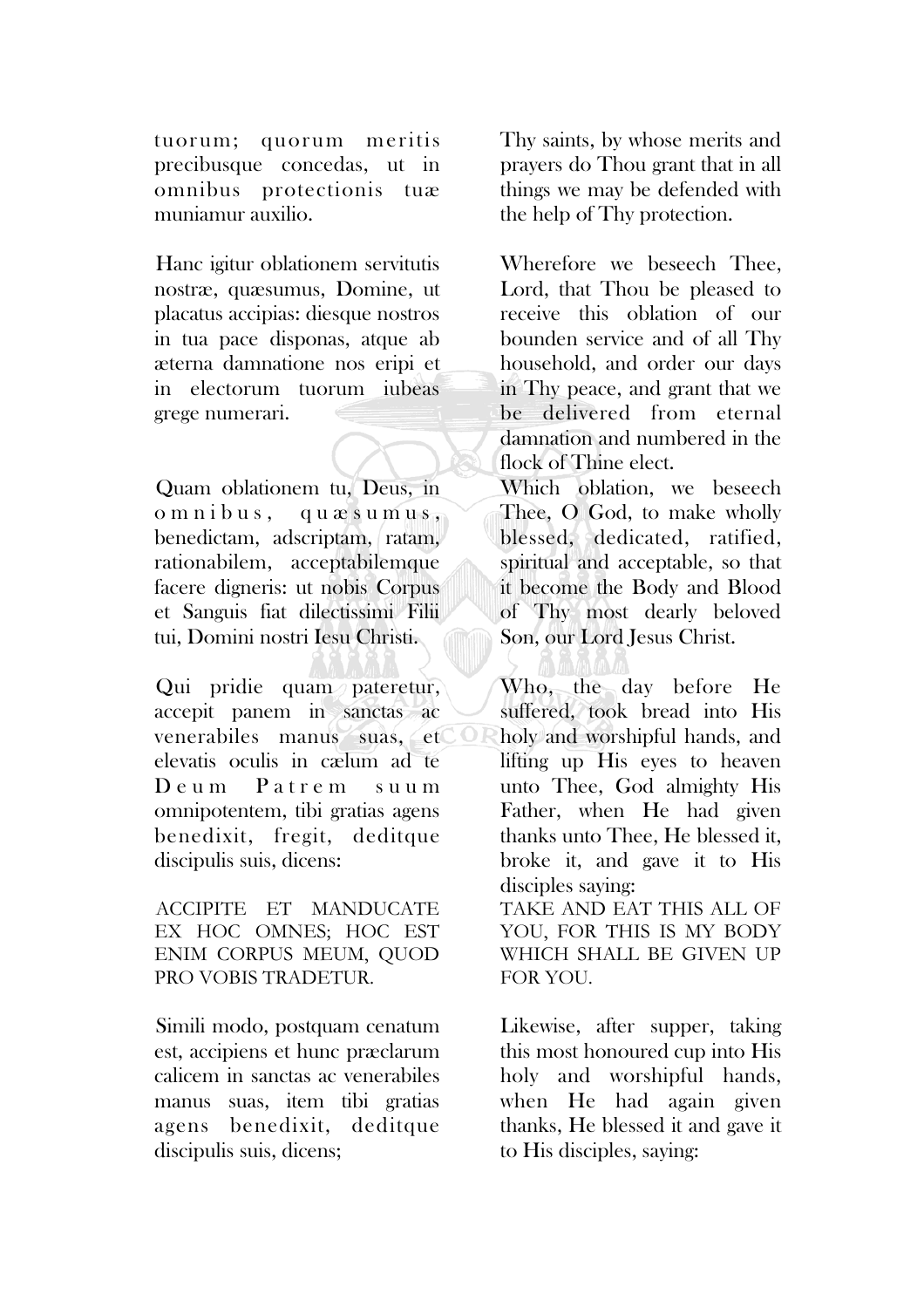tuorum; quorum meritis precibusque concedas, ut in omnibus protectionis tuæ muniamur auxilio.

Hanc igitur oblationem servitutis nostræ, quæsumus, Domine, ut placatus accipias: diesque nostros in tua pace disponas, atque ab æterna damnatione nos eripi et in electorum tuorum iubeas grege numerari.

Quam oblationem tu, Deus, in o m n i b u s, qu æ s u m u s, benedictam, adscriptam, ratam, rationabilem, acceptabilemque facere digneris: ut nobis Corpus et Sanguis fiat dilectissimi Filii tui, Domini nostri Iesu Christi.

Qui pridie quam pateretur, accepit panem in sanctas ac venerabiles manus suas, et elevatis oculis in cælum ad te Deum Patrem suum omnipotentem, tibi gratias agens benedixit, fregit, deditque discipulis suis, dicens:

ACCIPITE ET MANDUCATE EX HOC OMNES; HOC EST ENIM CORPUS MEUM, QUOD PRO VOBIS TRADETUR.

Simili modo, postquam cenatum est, accipiens et hunc præclarum calicem in sanctas ac venerabiles manus suas, item tibi gratias agens benedixit, deditque discipulis suis, dicens;

Thy saints, by whose merits and prayers do Thou grant that in all things we may be defended with the help of Thy protection.

Wherefore we beseech Thee, Lord, that Thou be pleased to receive this oblation of our bounden service and of all Thy household, and order our days in Thy peace, and grant that we be delivered from eternal damnation and numbered in the flock of Thine elect.

Which oblation, we beseech Thee, O God, to make wholly blessed, dedicated, ratified, spiritual and acceptable, so that it become the Body and Blood of Thy most dearly beloved Son, our Lord Jesus Christ.

Who, the day before He suffered, took bread into His holy and worshipful hands, and lifting up His eyes to heaven unto Thee, God almighty His Father, when He had given thanks unto Thee, He blessed it, broke it, and gave it to His disciples saying: TAKE AND EAT THIS ALL OF YOU, FOR THIS IS MY BODY WHICH SHALL BE GIVEN UP FOR YOU.

Likewise, after supper, taking this most honoured cup into His holy and worshipful hands, when He had again given thanks, He blessed it and gave it to His disciples, saying: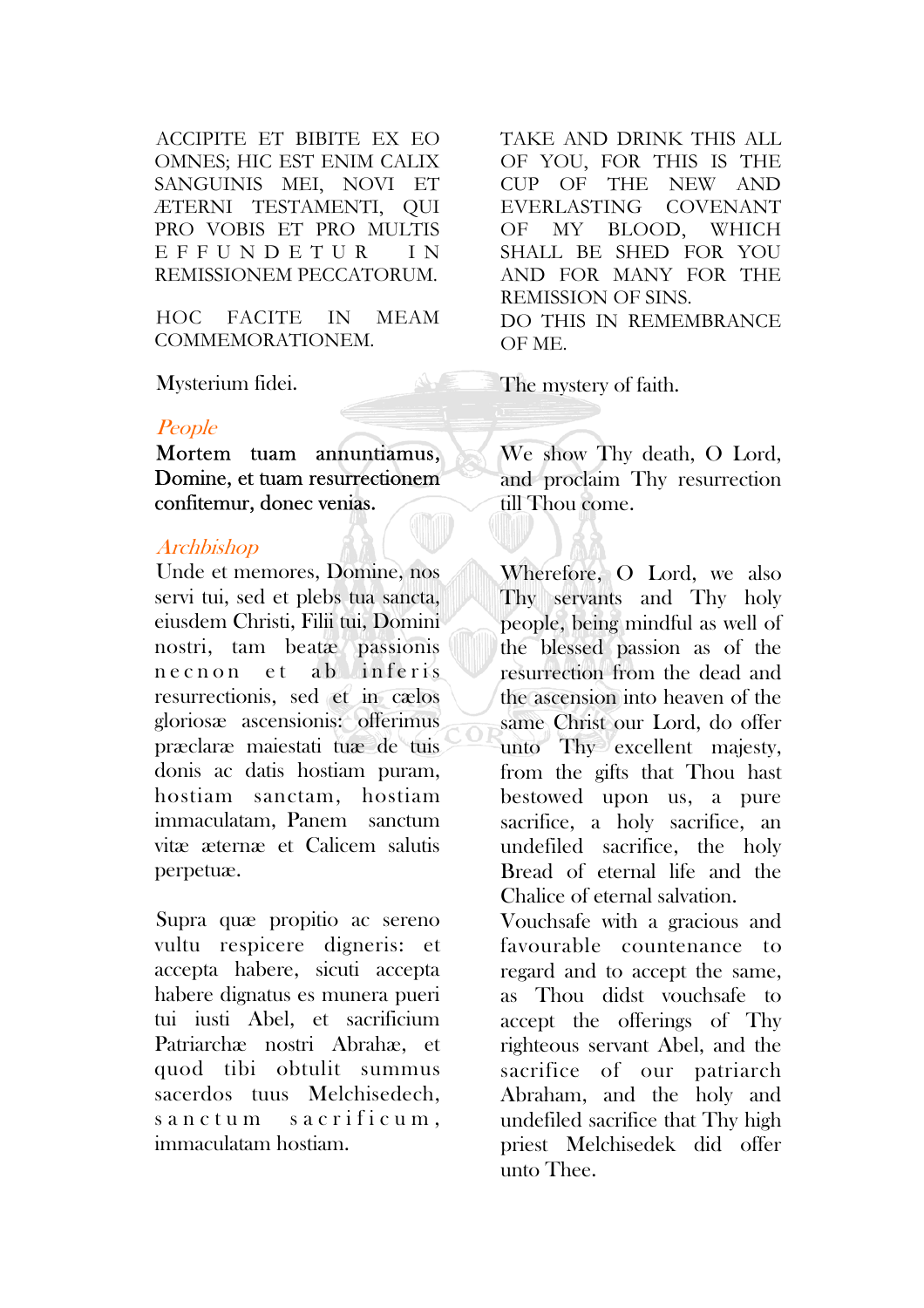ACCIPITE ET BIBITE EX EO OMNES; HIC EST ENIM CALIX SANGUINIS MEI, NOVI ET ÆTERNI TESTAMENTI, QUI PRO VOBIS ET PRO MULTIS E F F U N D E T U R I N REMISSIONEM PECCATORUM.

HOC FACITE IN MEAM COMMEMORATIONEM.

Mysterium fidei.

# **People**

Mortem tuam annuntiamus, Domine, et tuam resurrectionem confitemur, donec venias.

# Archbishop

Unde et memores, Domine, nos servi tui, sed et plebs tua sancta, eiusdem Christi, Filii tui, Domini nostri, tam beatæ passionis n e c n o n e t a b inferis resurrectionis, sed et in cælos gloriosæ ascensionis: offerimus præclaræ maiestati tuæ de tuis donis ac datis hostiam puram, hostiam sanctam, hostiam immaculatam, Panem sanctum vitæ æternæ et Calicem salutis perpetuæ.

Supra quæ propitio ac sereno vultu respicere digneris: et accepta habere, sicuti accepta habere dignatus es munera pueri tui iusti Abel, et sacrificium Patriarchæ nostri Abrahæ, et quod tibi obtulit summus sacerdos tuus Melchisedech, sanctum sacrificum. immaculatam hostiam.

TAKE AND DRINK THIS ALL OF YOU, FOR THIS IS THE CUP OF THE NEW AND EVERLASTING COVENANT OF MY BLOOD, WHICH SHALL BE SHED FOR YOU AND FOR MANY FOR THE REMISSION OF SINS. DO THIS IN REMEMBRANCE OF ME.

The mystery of faith.

We show Thy death, O Lord, and proclaim Thy resurrection till Thou come.

Wherefore, O Lord, we also Thy servants and Thy holy people, being mindful as well of the blessed passion as of the resurrection from the dead and the ascension into heaven of the same Christ our Lord, do offer unto Thy excellent majesty, from the gifts that Thou hast bestowed upon us, a pure sacrifice, a holy sacrifice, an undefiled sacrifice, the holy Bread of eternal life and the Chalice of eternal salvation. Vouchsafe with a gracious and favourable countenance to regard and to accept the same, as Thou didst vouchsafe to accept the offerings of Thy righteous servant Abel, and the sacrifice of our patriarch Abraham, and the holy and undefiled sacrifice that Thy high priest Melchisedek did offer unto Thee.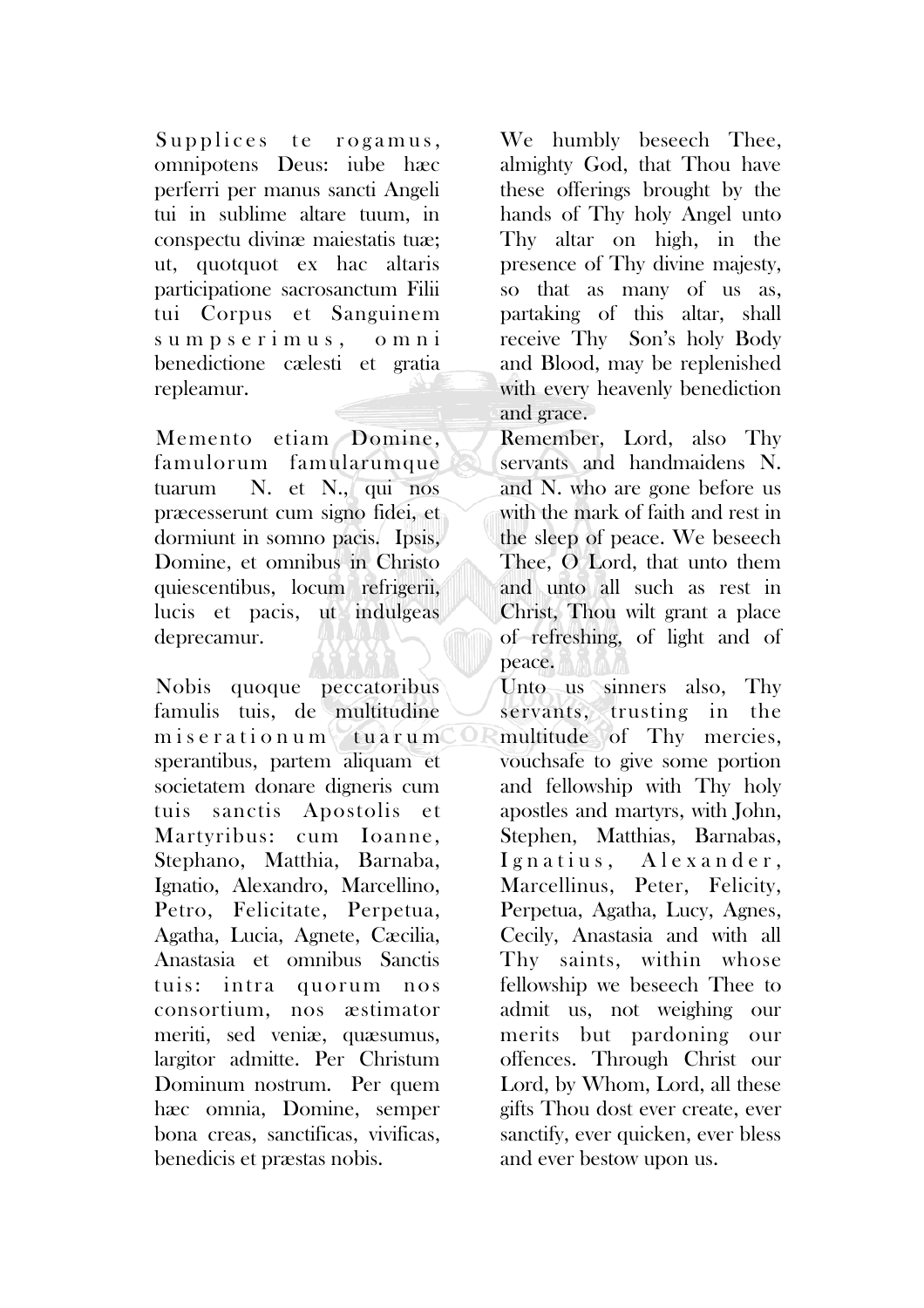Supplices te rogamus, omnipotens Deus: iube hæc perferri per manus sancti Angeli tui in sublime altare tuum, in conspectu divinæ maiestatis tuæ; ut, quotquot ex hac altaris participatione sacrosanctum Filii tui Corpus et Sanguinem sumpserimus, omni benedictione cælesti et gratia repleamur.

Memento etiam Domine, famulorum famularumque tuarum N. et N., qui nos præcesserunt cum signo fidei, et dormiunt in somno pacis. Ipsis, Domine, et omnibus in Christo quiescentibus, locum refrigerii, lucis et pacis, ut indulgeas deprecamur.

Nobis quoque peccatoribus famulis tuis, de multitudine m i s e r a t i o n u m t u a r u m sperantibus, partem aliquam et societatem donare digneris cum tuis sanctis Apostolis et Martyribus: cum Ioanne, Stephano, Matthia, Barnaba, Ignatio, Alexandro, Marcellino, Petro, Felicitate, Perpetua, Agatha, Lucia, Agnete, Cæcilia, Anastasia et omnibus Sanctis tuis: intra quorum nos consortium, nos æstimator meriti, sed veniæ, quæsumus, largitor admitte. Per Christum Dominum nostrum. Per quem hæc omnia, Domine, semper bona creas, sanctificas, vivificas, benedicis et præstas nobis.

We humbly beseech Thee, almighty God, that Thou have these offerings brought by the hands of Thy holy Angel unto Thy altar on high, in the presence of Thy divine majesty, so that as many of us as, partaking of this altar, shall receive Thy Son's holy Body and Blood, may be replenished with every heavenly benediction and grace.

Remember, Lord, also Thy servants and handmaidens N. and N. who are gone before us with the mark of faith and rest in the sleep of peace. We beseech Thee, O Lord, that unto them and unto all such as rest in Christ, Thou wilt grant a place of refreshing, of light and of peace.

Unto us sinners also, Thy servants, trusting in the multitude of Thy mercies, vouchsafe to give some portion and fellowship with Thy holy apostles and martyrs, with John, Stephen, Matthias, Barnabas, Ignatius, Alexander, Marcellinus, Peter, Felicity, Perpetua, Agatha, Lucy, Agnes, Cecily, Anastasia and with all Thy saints, within whose fellowship we beseech Thee to admit us, not weighing our merits but pardoning our offences. Through Christ our Lord, by Whom, Lord, all these gifts Thou dost ever create, ever sanctify, ever quicken, ever bless and ever bestow upon us.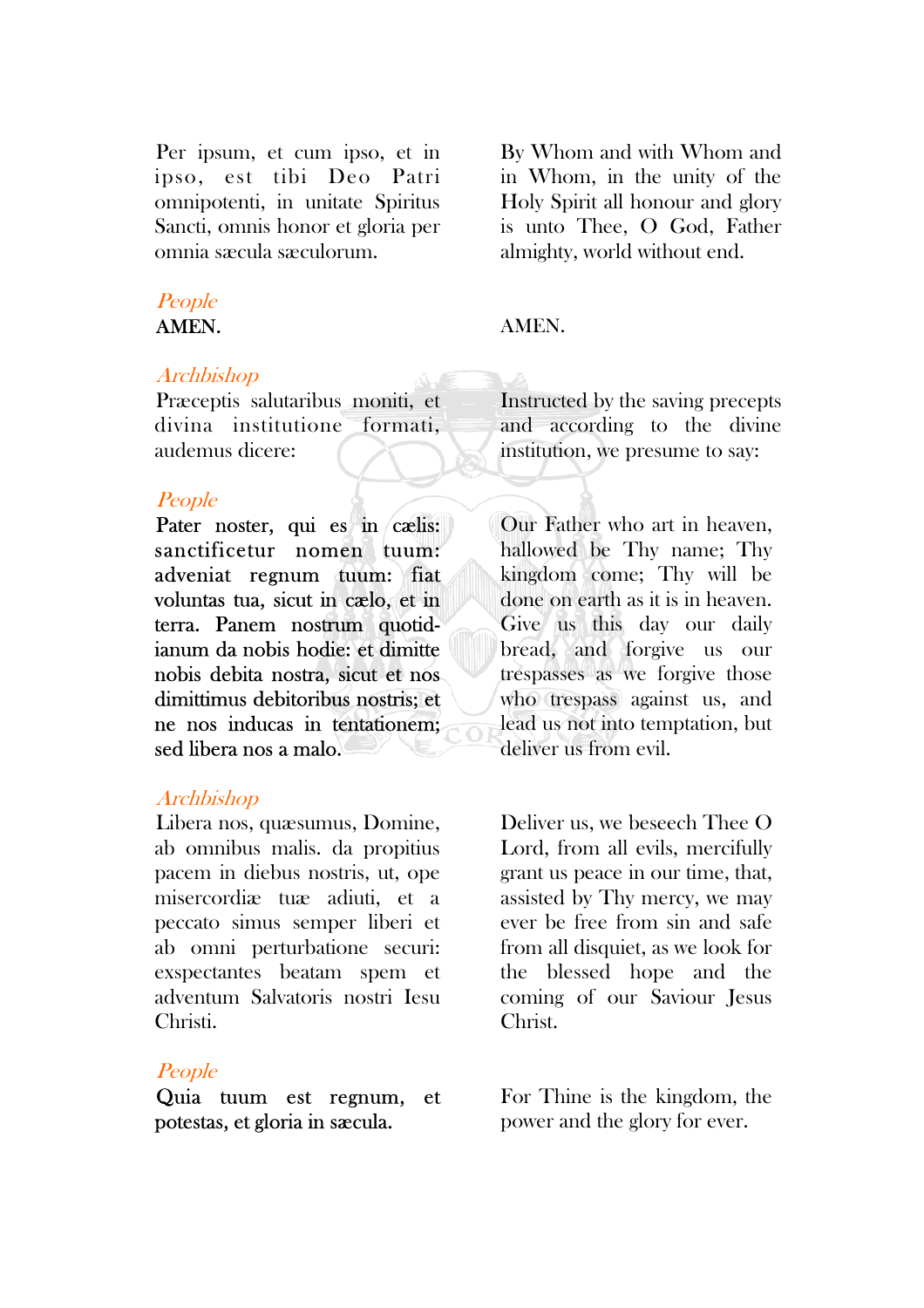Per ipsum, et cum ipso, et in ipso, est tibi Deo Patri omnipotenti, in unitate Spiritus Sancti, omnis honor et gloria per omnia sæcula sæculorum.

# People

AMEN.

# Archbishop

Præceptis salutaribus moniti, et divina institutione formati, audemus dicere:

# People

Pater noster, qui es in cælis: sanctificetur nomen tuum: adveniat regnum tuum: fiat voluntas tua, sicut in cælo, et in terra. Panem nostrum quotidianum da nobis hodie: et dimitte nobis debita nostra, sicut et nos dimittimus debitoribus nostris; et ne nos inducas in tentationem; sed libera nos a malo.

### Archbishop

Libera nos, quæsumus, Domine, ab omnibus malis. da propitius pacem in diebus nostris, ut, ope misercordiæ tuæ adiuti, et a peccato simus semper liberi et ab omni perturbatione securi: exspectantes beatam spem et adventum Salvatoris nostri Iesu Christi

# People

Quia tuum est regnum, et potestas, et gloria in sæcula.

By Whom and with Whom and in Whom, in the unity of the Holy Spirit all honour and glory is unto Thee, O God, Father almighty, world without end.

# AMEN.

Instructed by the saving precepts and according to the divine institution, we presume to say:

Our Father who art in heaven, hallowed be Thy name; Thy kingdom come; Thy will be done on earth as it is in heaven. Give us this day our daily bread, and forgive us our trespasses as we forgive those who trespass against us, and lead us not into temptation, but deliver us from evil.

Deliver us, we beseech Thee O Lord, from all evils, mercifully grant us peace in our time, that, assisted by Thy mercy, we may ever be free from sin and safe from all disquiet, as we look for the blessed hope and the coming of our Saviour Jesus Christ.

For Thine is the kingdom, the power and the glory for ever.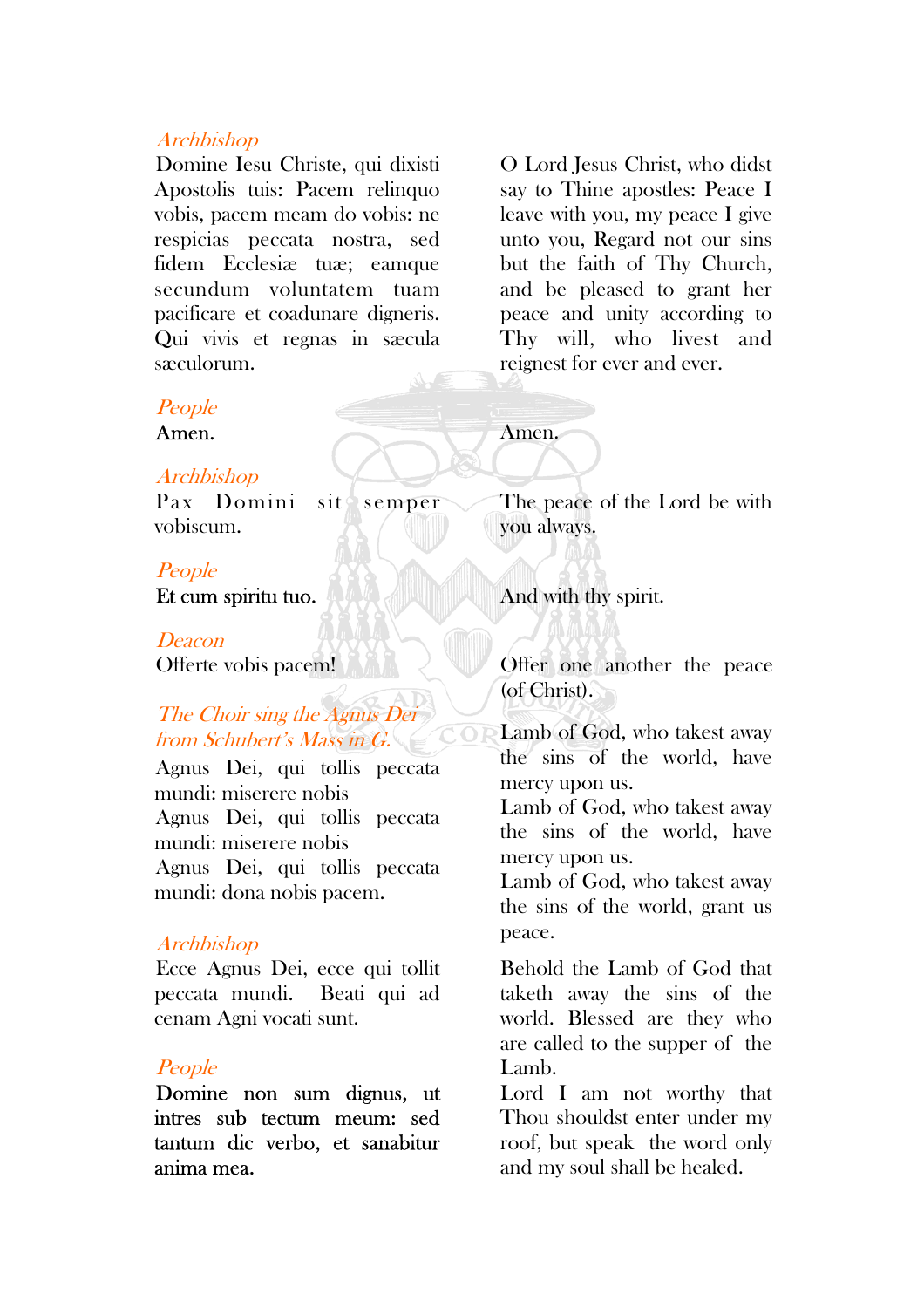# Archbishop

Domine Iesu Christe, qui dixisti Apostolis tuis: Pacem relinquo vobis, pacem meam do vobis: ne respicias peccata nostra, sed fidem Ecclesiæ tuæ; eamque secundum voluntatem tuam pacificare et coadunare digneris. Qui vivis et regnas in sæcula sæculorum.

# People

### Amen.

### Archbishop

Pax Domini sit semper vobiscum.

# People

# Et cum spiritu tuo.

## **Deacon**

Offerte vobis pacem!

# The Choir sing the Agnus De. from Schubert's Mass in G.

Agnus Dei, qui tollis peccata mundi: miserere nobis Agnus Dei, qui tollis peccata mundi: miserere nobis Agnus Dei, qui tollis peccata mundi: dona nobis pacem.

### Archbishop

Ecce Agnus Dei, ecce qui tollit peccata mundi. Beati qui ad cenam Agni vocati sunt.

# People

Domine non sum dignus, ut intres sub tectum meum: sed tantum dic verbo, et sanabitur anima mea.

O Lord Jesus Christ, who didst say to Thine apostles: Peace I leave with you, my peace I give unto you, Regard not our sins but the faith of Thy Church, and be pleased to grant her peace and unity according to Thy will, who livest and reignest for ever and ever.

# Amen.

The peace of the Lord be with you always.

And with thy spirit.

Offer one another the peace (of Christ).

**DR** Lamb of God, who takest away the sins of the world, have mercy upon us.

> Lamb of God, who takest away the sins of the world, have mercy upon us.

> Lamb of God, who takest away the sins of the world, grant us peace.

> Behold the Lamb of God that taketh away the sins of the world. Blessed are they who are called to the supper of the Lamb.

> Lord I am not worthy that Thou shouldst enter under my roof, but speak the word only and my soul shall be healed.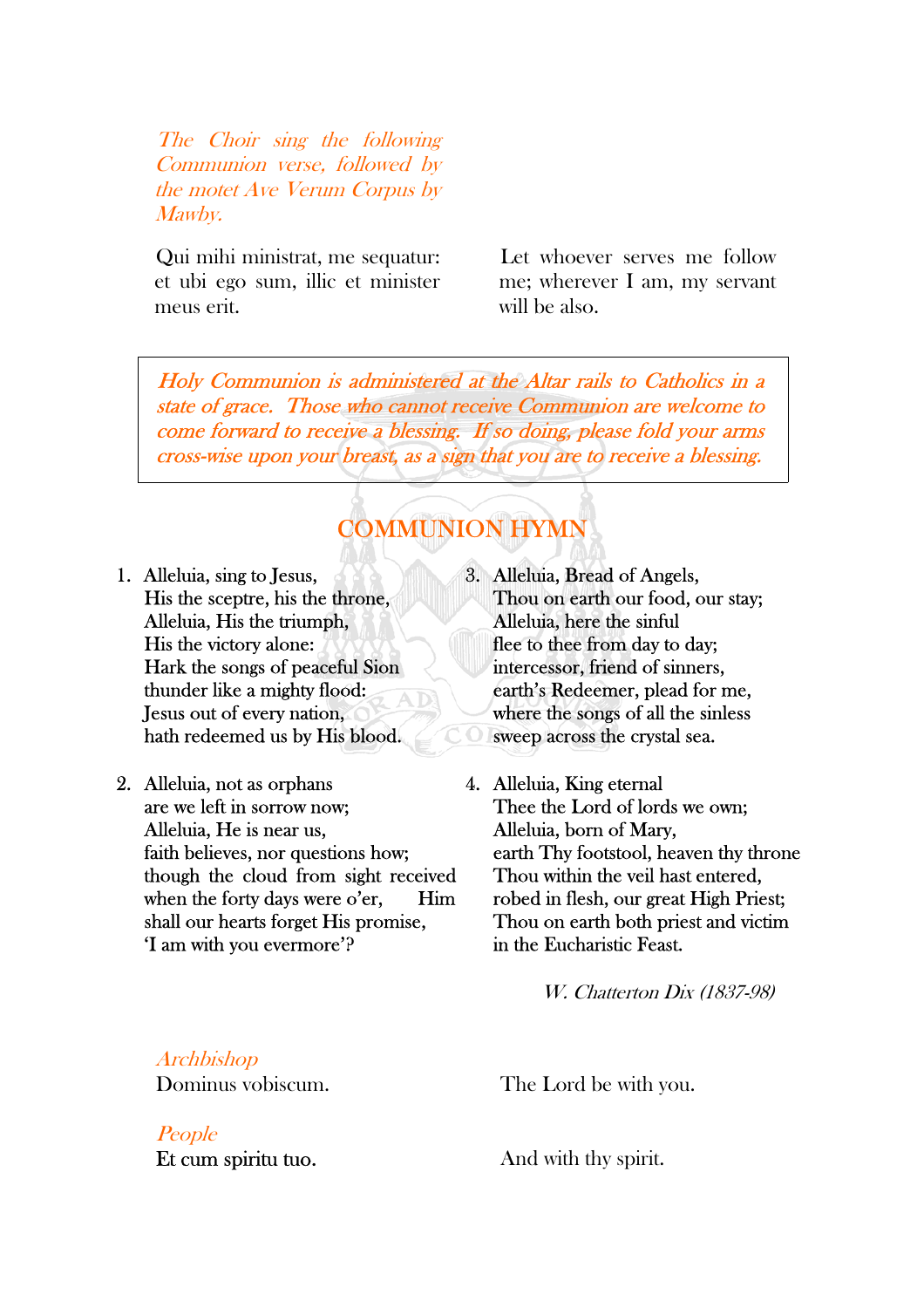The Choir sing the following Communion verse, followed by the motet Ave Verum Corpus by Mawby.

Qui mihi ministrat, me sequatur: et ubi ego sum, illic et minister meus erit.

Let whoever serves me follow me; wherever I am, my servant will be also.

Holy Communion is administered at the Altar rails to Catholics in a state of grace. Those who cannot receive Communion are welcome to come forward to receive a blessing. If so doing, please fold your arms cross-wise upon your breast, as a sign that you are to receive a blessing.

# COMMUNION HYMN

- 1. Alleluia, sing to Jesus, His the sceptre, his the throne, Alleluia, His the triumph, His the victory alone: Hark the songs of peaceful Sion thunder like a mighty flood: Jesus out of every nation, hath redeemed us by His blood.
- 2. Alleluia, not as orphans are we left in sorrow now; Alleluia, He is near us, faith believes, nor questions how; though the cloud from sight received when the forty days were o'er, Him shall our hearts forget His promise, 'I am with you evermore'?
- 3. Alleluia, Bread of Angels, Thou on earth our food, our stay; Alleluia, here the sinful flee to thee from day to day; intercessor, friend of sinners, earth's Redeemer, plead for me, where the songs of all the sinless sweep across the crystal sea.
- 4. Alleluia, King eternal Thee the Lord of lords we own; Alleluia, born of Mary, earth Thy footstool, heaven thy throne Thou within the veil hast entered, robed in flesh, our great High Priest; Thou on earth both priest and victim in the Eucharistic Feast.

W. Chatterton Dix (1837-98)

Archbishop

Dominus vobiscum.

**People** Et cum spiritu tuo. The Lord be with you.

And with thy spirit.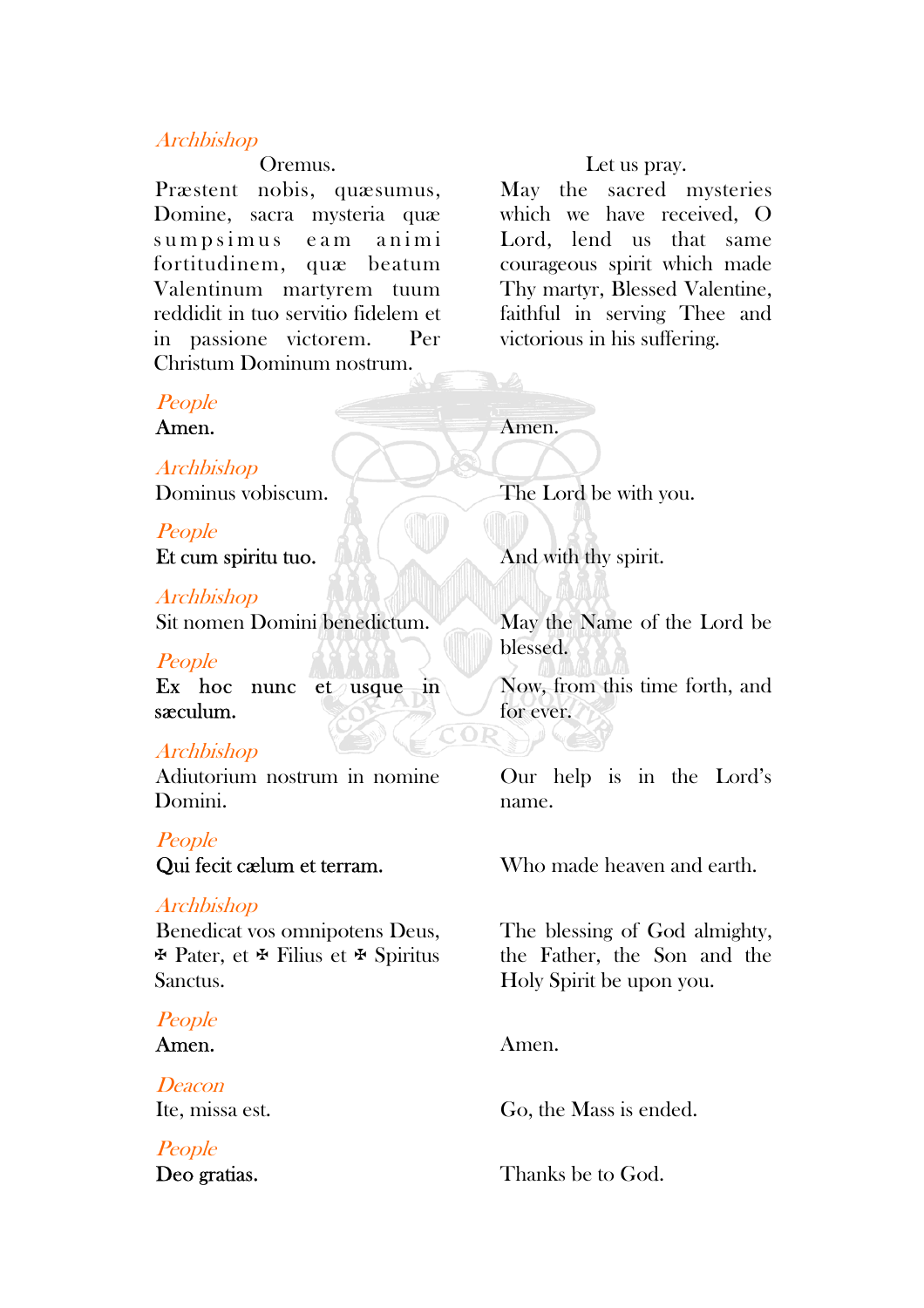# Archbishop

#### Oremus.

Præstent nobis, quæsumus, Domine, sacra mysteria quæ sumpsimus eam animi fortitudinem, quæ beatum Valentinum martyrem tuum reddidit in tuo servitio fidelem et in passione victorem. Per Christum Dominum nostrum.

# **People**

# Amen.

Archbishop Dominus vobiscum.

# People

Et cum spiritu tuo.

#### Archbishop

Sit nomen Domini benedictum.

# People

Ex hoc nunc  $et$  usque in sæculum.

# Archbishop

Adiutorium nostrum in nomine Domini.

### People

Qui fecit cælum et terram.

### Archbishop

Benedicat vos omnipotens Deus, # Pater, et # Filius et # Spiritus Sanctus.

### **People**

# Amen.

**Deacon** Ite, missa est.

People Deo gratias.

## Let us pray.

May the sacred mysteries which we have received, O Lord, lend us that same courageous spirit which made Thy martyr, Blessed Valentine, faithful in serving Thee and victorious in his suffering.

# Amen.

The Lord be with you.

And with thy spirit.

May the Name of the Lord be blessed.

Now, from this time forth, and for ever.

Our help is in the Lord's name.

Who made heaven and earth.

The blessing of God almighty, the Father, the Son and the Holy Spirit be upon you.

Amen.

Go, the Mass is ended.

Thanks be to God.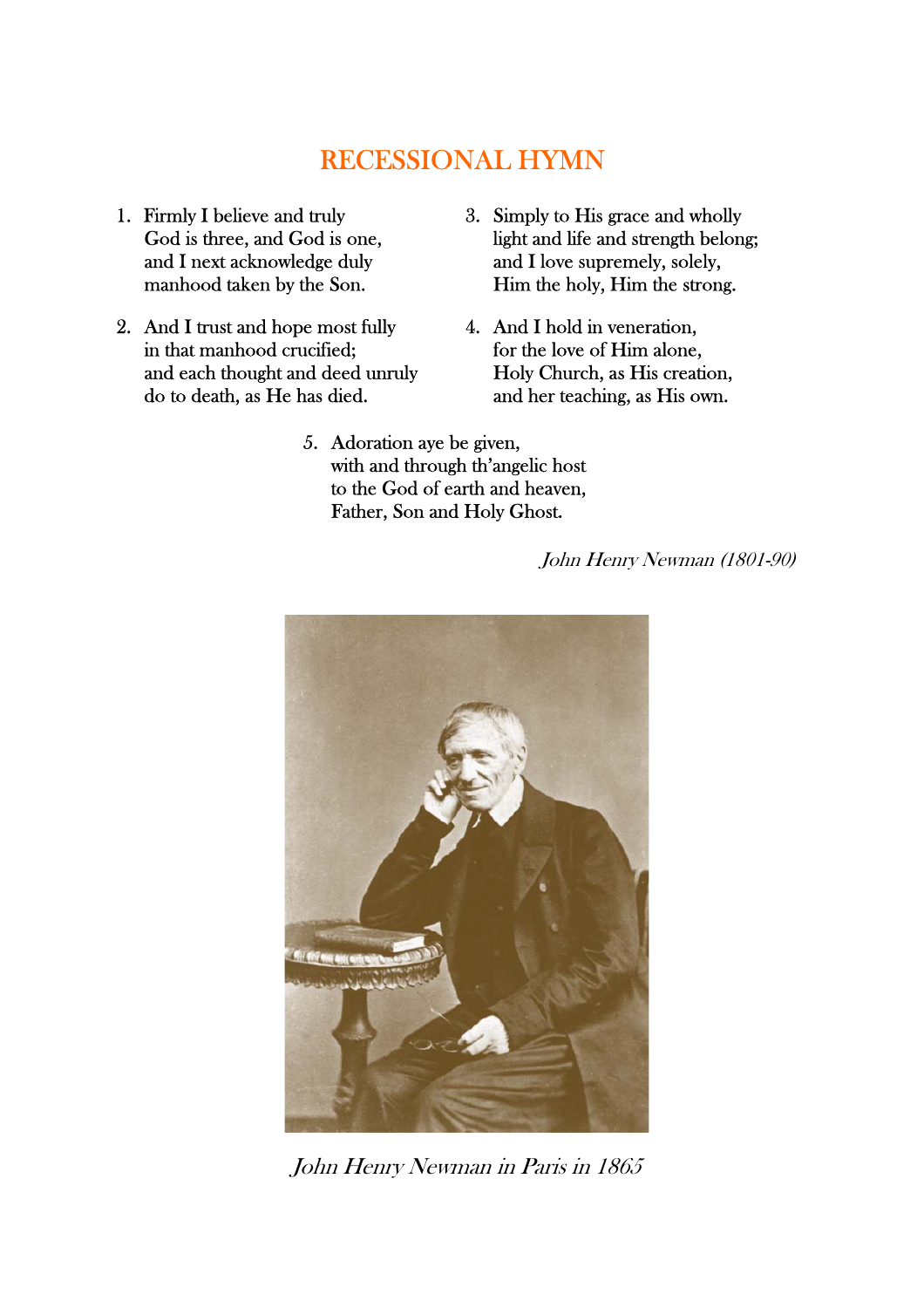# RECESSIONAL HYMN

- 1. Firmly I believe and truly God is three, and God is one, and I next acknowledge duly manhood taken by the Son.
- 2. And I trust and hope most fully in that manhood crucified; and each thought and deed unruly do to death, as He has died.
- 3. Simply to His grace and wholly light and life and strength belong; and I love supremely, solely, Him the holy, Him the strong.
- 4. And I hold in veneration, for the love of Him alone, Holy Church, as His creation, and her teaching, as His own.
- 5. Adoration aye be given, with and through th'angelic host to the God of earth and heaven, Father, Son and Holy Ghost.

John Henry Newman (1801-90)



John Henry Newman in Paris in 1865